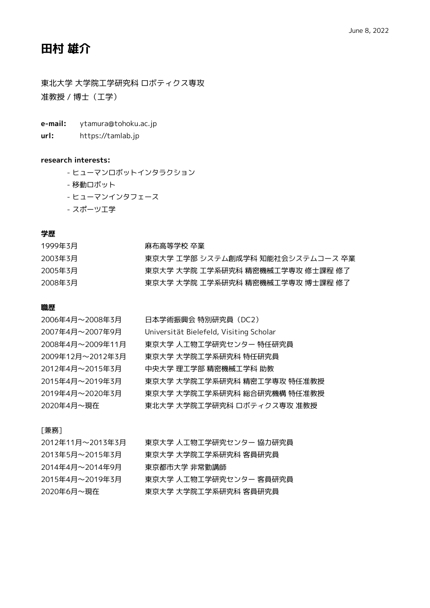# **田村 雄介**

東北大学 大学院工学研究科 ロボティクス専攻 准教授 / 博士(工学)

- **e-mail:** ytamura@tohoku.ac.jp
- **url:** https://tamlab.jp

## **research interests:**

- ヒューマンロボットインタラクション
- 移動ロボット
- ヒューマンインタフェース
- スポーツ工学

# **学歴**

| 1999年3月 | 麻布高等学校 卒業                        |
|---------|----------------------------------|
| 2003年3月 | 東京大学 工学部 システム創成学科 知能社会システムコース 卒業 |
| 2005年3月 | 東京大学 大学院 工学系研究科 精密機械工学専攻 修士課程 修了 |
| 2008年3月 | 東京大学 大学院 工学系研究科 精密機械工学専攻 博士課程 修了 |

# **職歴**

| 2006年4月~2008年3月  | 日本学術振興会 特別研究員(DC2)                      |
|------------------|-----------------------------------------|
| 2007年4月~2007年9月  | Universität Bielefeld, Visiting Scholar |
| 2008年4月~2009年11月 | 東京大学 人工物工学研究センター 特任研究員                  |
| 2009年12月~2012年3月 | 東京大学 大学院工学系研究科 特仟研究員                    |
| 2012年4月~2015年3月  | 中央大学 理工学部 精密機械工学科 助教                    |
| 2015年4月~2019年3月  | 東京大学 大学院工学系研究科 精密工学専攻 特任准教授             |
| 2019年4月~2020年3月  | 東京大学 大学院工学系研究科 総合研究機構 特仟准教授             |
| 2020年4月~現在       | 東北大学 大学院工学研究科 ロボティクス専攻 准教授              |

## [兼務]

| 2012年11月~2013年3月 | 東京大学 人工物工学研究センター 協力研究員 |
|------------------|------------------------|
| 2013年5月~2015年3月  | 東京大学 大学院工学系研究科 客員研究員   |
| 2014年4月~2014年9月  | 東京都市大学 非常勤講師           |
| 2015年4月~2019年3月  | 東京大学 人工物工学研究センター 客員研究員 |
| 2020年6月~現在       | 東京大学 大学院工学系研究科 客員研究員   |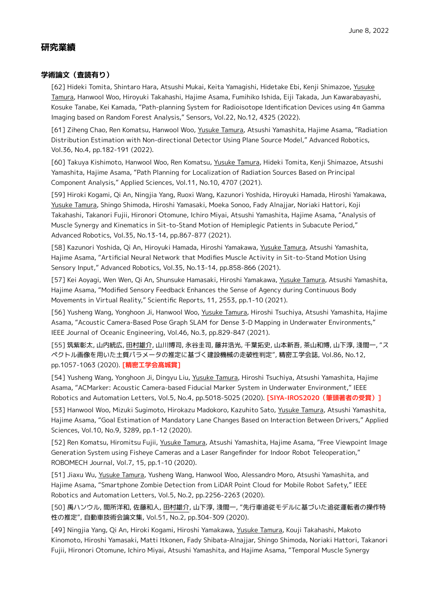# **研究業績**

# **学術論文(査読有り)**

[62] Hideki Tomita, Shintaro Hara, Atsushi Mukai, Keita Yamagishi, Hidetake Ebi, Kenji Shimazoe, Yusuke Tamura, Hanwool Woo, Hiroyuki Takahashi, Hajime Asama, Fumihiko Ishida, Eiji Takada, Jun Kawarabayashi, Kosuke Tanabe, Kei Kamada, "Path-planning System for Radioisotope Identification Devices using 4π Gamma Imaging based on Random Forest Analysis," Sensors, Vol.22, No.12, 4325 (2022).

[61] Ziheng Chao, Ren Komatsu, Hanwool Woo, Yusuke Tamura, Atsushi Yamashita, Hajime Asama, "Radiation Distribution Estimation with Non-directional Detector Using Plane Source Model," Advanced Robotics, Vol.36, No.4, pp.182-191 (2022).

[60] Takuya Kishimoto, Hanwool Woo, Ren Komatsu, Yusuke Tamura, Hideki Tomita, Kenji Shimazoe, Atsushi Yamashita, Hajime Asama, "Path Planning for Localization of Radiation Sources Based on Principal Component Analysis," Applied Sciences, Vol.11, No.10, 4707 (2021).

[59] Hiroki Kogami, Qi An, Ningjia Yang, Ruoxi Wang, Kazunori Yoshida, Hiroyuki Hamada, Hiroshi Yamakawa, Yusuke Tamura, Shingo Shimoda, Hiroshi Yamasaki, Moeka Sonoo, Fady Alnajjar, Noriaki Hattori, Koji Takahashi, Takanori Fujii, Hironori Otomune, Ichiro Miyai, Atsushi Yamashita, Hajime Asama, "Analysis of Muscle Synergy and Kinematics in Sit-to-Stand Motion of Hemiplegic Patients in Subacute Period," Advanced Robotics, Vol.35, No.13-14, pp.867-877 (2021).

[58] Kazunori Yoshida, Qi An, Hiroyuki Hamada, Hiroshi Yamakawa, Yusuke Tamura, Atsushi Yamashita, Hajime Asama, "Artificial Neural Network that Modifies Muscle Activity in Sit-to-Stand Motion Using Sensory Input," Advanced Robotics, Vol.35, No.13-14, pp.858-866 (2021).

[57] Kei Aoyagi, Wen Wen, Qi An, Shunsuke Hamasaki, Hiroshi Yamakawa, Yusuke Tamura, Atsushi Yamashita, Hajime Asama, "Modified Sensory Feedback Enhances the Sense of Agency during Continuous Body Movements in Virtual Reality," Scientific Reports, 11, 2553, pp.1-10 (2021).

[56] Yusheng Wang, Yonghoon Ji, Hanwool Woo, Yusuke Tamura, Hiroshi Tsuchiya, Atsushi Yamashita, Hajime Asama, "Acoustic Camera-Based Pose Graph SLAM for Dense 3-D Mapping in Underwater Environments," IEEE Journal of Oceanic Engineering, Vol.46, No.3, pp.829-847 (2021).

[55] 筑紫彰太, 山内統広, 田村雄介, 山川博司, 永谷圭司, 藤井浩光, 千葉拓史, 山本新吾, 茶山和博, 山下淳, 淺間一, "ス ペクトル画像を用いた土質パラメータの推定に基づく建設機械の走破性判定", 精密工学会誌, Vol.86, No.12, pp.1057-1063 (2020). **[精密工学会髙城賞]**

[54] Yusheng Wang, Yonghoon Ji, Dingyu Liu, Yusuke Tamura, Hiroshi Tsuchiya, Atsushi Yamashita, Hajime Asama, "ACMarker: Acoustic Camera-based Fiducial Marker System in Underwater Environment," IEEE Robotics and Automation Letters, Vol.5, No.4, pp.5018-5025 (2020). **[SIYA-IROS2020(筆頭著者の受賞)]**

[53] Hanwool Woo, Mizuki Sugimoto, Hirokazu Madokoro, Kazuhito Sato, Yusuke Tamura, Atsushi Yamashita, Hajime Asama, "Goal Estimation of Mandatory Lane Changes Based on Interaction Between Drivers," Applied Sciences, Vol.10, No.9, 3289, pp.1-12 (2020).

[52] Ren Komatsu, Hiromitsu Fujii, Yusuke Tamura, Atsushi Yamashita, Hajime Asama, "Free Viewpoint Image Generation System using Fisheye Cameras and a Laser Rangefinder for Indoor Robot Teleoperation," ROBOMECH Journal, Vol.7, 15, pp.1-10 (2020).

[51] Jiaxu Wu, Yusuke Tamura, Yusheng Wang, Hanwool Woo, Alessandro Moro, Atsushi Yamashita, and Hajime Asama, "Smartphone Zombie Detection from LiDAR Point Cloud for Mobile Robot Safety," IEEE Robotics and Automation Letters, Vol.5, No.2, pp.2256-2263 (2020).

[50] 禹ハンウル, 間所洋和, 佐藤和人, 田村雄介, 山下淳, 淺間一, "先行車追従モデルに基づいた追従運転者の操作特 性の推定", 自動車技術会論文集, Vol.51, No.2, pp.304-309 (2020).

[49] Ningjia Yang, Qi An, Hiroki Kogami, Hiroshi Yamakawa, Yusuke Tamura, Kouji Takahashi, Makoto Kinomoto, Hiroshi Yamasaki, Matti Itkonen, Fady Shibata-Alnajjar, Shingo Shimoda, Noriaki Hattori, Takanori Fujii, Hironori Otomune, Ichiro Miyai, Atsushi Yamashita, and Hajime Asama, "Temporal Muscle Synergy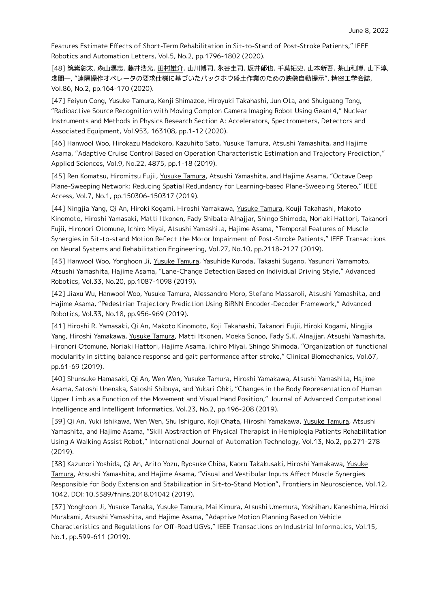Features Estimate Effects of Short-Term Rehabilitation in Sit-to-Stand of Post-Stroke Patients," IEEE Robotics and Automation Letters, Vol.5, No.2, pp.1796-1802 (2020).

[48] 筑紫彰太, 森山湧志, 藤井浩光, 田村雄介, 山川博司, 永谷圭司, 坂井郁也, 千葉拓史, 山本新吾, 茶山和博, 山下淳, 淺間一, "遠隔操作オペレータの要求仕様に基づいたバックホウ盛土作業のための映像自動提示", 精密工学会誌, Vol.86, No.2, pp.164-170 (2020).

[47] Feiyun Cong, Yusuke Tamura, Kenji Shimazoe, Hiroyuki Takahashi, Jun Ota, and Shuiguang Tong, "Radioactive Source Recognition with Moving Compton Camera Imaging Robot Using Geant4," Nuclear Instruments and Methods in Physics Research Section A: Accelerators, Spectrometers, Detectors and Associated Equipment, Vol.953, 163108, pp.1-12 (2020).

[46] Hanwool Woo, Hirokazu Madokoro, Kazuhito Sato, Yusuke Tamura, Atsushi Yamashita, and Hajime Asama, "Adaptive Cruise Control Based on Operation Characteristic Estimation and Trajectory Prediction," Applied Sciences, Vol.9, No.22, 4875, pp.1-18 (2019).

[45] Ren Komatsu, Hiromitsu Fujii, Yusuke Tamura, Atsushi Yamashita, and Hajime Asama, "Octave Deep Plane-Sweeping Network: Reducing Spatial Redundancy for Learning-based Plane-Sweeping Stereo," IEEE Access, Vol.7, No.1, pp.150306-150317 (2019).

[44] Ningjia Yang, Qi An, Hiroki Kogami, Hiroshi Yamakawa, Yusuke Tamura, Kouji Takahashi, Makoto Kinomoto, Hiroshi Yamasaki, Matti Itkonen, Fady Shibata-Alnajjar, Shingo Shimoda, Noriaki Hattori, Takanori Fujii, Hironori Otomune, Ichiro Miyai, Atsushi Yamashita, Hajime Asama, "Temporal Features of Muscle Synergies in Sit-to-stand Motion Reflect the Motor Impairment of Post-Stroke Patients," IEEE Transactions on Neural Systems and Rehabilitation Engineering, Vol.27, No.10, pp.2118-2127 (2019).

[43] Hanwool Woo, Yonghoon Ji, Yusuke Tamura, Yasuhide Kuroda, Takashi Sugano, Yasunori Yamamoto, Atsushi Yamashita, Hajime Asama, "Lane-Change Detection Based on Individual Driving Style," Advanced Robotics, Vol.33, No.20, pp.1087-1098 (2019).

[42] Jiaxu Wu, Hanwool Woo, Yusuke Tamura, Alessandro Moro, Stefano Massaroli, Atsushi Yamashita, and Hajime Asama, "Pedestrian Trajectory Prediction Using BiRNN Encoder-Decoder Framework," Advanced Robotics, Vol.33, No.18, pp.956-969 (2019).

[41] Hiroshi R. Yamasaki, Qi An, Makoto Kinomoto, Koji Takahashi, Takanori Fujii, Hiroki Kogami, Ningjia Yang, Hiroshi Yamakawa, Yusuke Tamura, Matti Itkonen, Moeka Sonoo, Fady S.K. Alnajjar, Atsushi Yamashita, Hironori Otomune, Noriaki Hattori, Hajime Asama, Ichiro Miyai, Shingo Shimoda, "Organization of functional modularity in sitting balance response and gait performance after stroke," Clinical Biomechanics, Vol.67, pp.61-69 (2019).

[40] Shunsuke Hamasaki, Qi An, Wen Wen, Yusuke Tamura, Hiroshi Yamakawa, Atsushi Yamashita, Hajime Asama, Satoshi Unenaka, Satoshi Shibuya, and Yukari Ohki, "Changes in the Body Representation of Human Upper Limb as a Function of the Movement and Visual Hand Position," Journal of Advanced Computational Intelligence and Intelligent Informatics, Vol.23, No.2, pp.196-208 (2019).

[39] Qi An, Yuki Ishikawa, Wen Wen, Shu Ishiguro, Koji Ohata, Hiroshi Yamakawa, Yusuke Tamura, Atsushi Yamashita, and Hajime Asama, "Skill Abstraction of Physical Therapist in Hemiplegia Patients Rehabilitation Using A Walking Assist Robot," International Journal of Automation Technology, Vol.13, No.2, pp.271-278 (2019).

[38] Kazunori Yoshida, Qi An, Arito Yozu, Ryosuke Chiba, Kaoru Takakusaki, Hiroshi Yamakawa, Yusuke Tamura, Atsushi Yamashita, and Hajime Asama, "Visual and Vestibular Inputs Affect Muscle Synergies Responsible for Body Extension and Stabilization in Sit-to-Stand Motion", Frontiers in Neuroscience, Vol.12, 1042, DOI:10.3389/fnins.2018.01042 (2019).

[37] Yonghoon Ji, Yusuke Tanaka, Yusuke Tamura, Mai Kimura, Atsushi Umemura, Yoshiharu Kaneshima, Hiroki Murakami, Atsushi Yamashita, and Hajime Asama, "Adaptive Motion Planning Based on Vehicle Characteristics and Regulations for Off-Road UGVs," IEEE Transactions on Industrial Informatics, Vol.15, No.1, pp.599-611 (2019).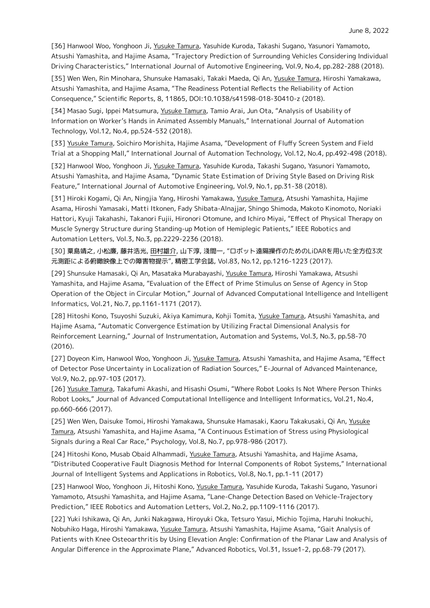[36] Hanwool Woo, Yonghoon Ji, Yusuke Tamura, Yasuhide Kuroda, Takashi Sugano, Yasunori Yamamoto, Atsushi Yamashita, and Hajime Asama, "Trajectory Prediction of Surrounding Vehicles Considering Individual Driving Characteristics," International Journal of Automotive Engineering, Vol.9, No.4, pp.282-288 (2018).

[35] Wen Wen, Rin Minohara, Shunsuke Hamasaki, Takaki Maeda, Qi An, Yusuke Tamura, Hiroshi Yamakawa, Atsushi Yamashita, and Hajime Asama, "The Readiness Potential Reflects the Reliability of Action Consequence," Scientific Reports, 8, 11865, DOI:10.1038/s41598-018-30410-z (2018).

[34] Masao Sugi, Ippei Matsumura, Yusuke Tamura, Tamio Arai, Jun Ota, "Analysis of Usability of Information on Worker's Hands in Animated Assembly Manuals," International Journal of Automation Technology, Vol.12, No.4, pp.524-532 (2018).

[33] Yusuke Tamura, Soichiro Morishita, Hajime Asama, "Development of Fluffy Screen System and Field Trial at a Shopping Mall," International Journal of Automation Technology, Vol.12, No.4, pp.492-498 (2018).

[32] Hanwool Woo, Yonghoon Ji, Yusuke Tamura, Yasuhide Kuroda, Takashi Sugano, Yasunori Yamamoto, Atsushi Yamashita, and Hajime Asama, "Dynamic State Estimation of Driving Style Based on Driving Risk Feature," International Journal of Automotive Engineering, Vol.9, No.1, pp.31-38 (2018).

[31] Hiroki Kogami, Qi An, Ningjia Yang, Hiroshi Yamakawa, Yusuke Tamura, Atsushi Yamashita, Hajime Asama, Hiroshi Yamasaki, Matti Itkonen, Fady Shibata-Alnajjar, Shingo Shimoda, Makoto Kinomoto, Noriaki Hattori, Kyuji Takahashi, Takanori Fujii, Hironori Otomune, and Ichiro Miyai, "Effect of Physical Therapy on Muscle Synergy Structure during Standing-up Motion of Hemiplegic Patients," IEEE Robotics and Automation Letters, Vol.3, No.3, pp.2229-2236 (2018).

[30] 粟島靖之, 小松廉, 藤井浩光, 田村雄介, 山下淳, 淺間一, "ロボット遠隔操作のためのLiDARを用いた全方位3次 元測距による俯瞰映像上での障害物提示", 精密工学会誌, Vol.83, No.12, pp.1216-1223 (2017).

[29] Shunsuke Hamasaki, Qi An, Masataka Murabayashi, Yusuke Tamura, Hiroshi Yamakawa, Atsushi Yamashita, and Hajime Asama, "Evaluation of the Effect of Prime Stimulus on Sense of Agency in Stop Operation of the Object in Circular Motion," Journal of Advanced Computational Intelligence and Intelligent Informatics, Vol.21, No.7, pp.1161-1171 (2017).

[28] Hitoshi Kono, Tsuyoshi Suzuki, Akiya Kamimura, Kohji Tomita, Yusuke Tamura, Atsushi Yamashita, and Hajime Asama, "Automatic Convergence Estimation by Utilizing Fractal Dimensional Analysis for Reinforcement Learning," Journal of Instrumentation, Automation and Systems, Vol.3, No.3, pp.58-70 (2016).

[27] Doyeon Kim, Hanwool Woo, Yonghoon Ji, Yusuke Tamura, Atsushi Yamashita, and Hajime Asama, "Effect of Detector Pose Uncertainty in Localization of Radiation Sources," E-Journal of Advanced Maintenance, Vol.9, No.2, pp.97-103 (2017).

[26] Yusuke Tamura, Takafumi Akashi, and Hisashi Osumi, "Where Robot Looks Is Not Where Person Thinks Robot Looks," Journal of Advanced Computational Intelligence and Intelligent Informatics, Vol.21, No.4, pp.660-666 (2017).

[25] Wen Wen, Daisuke Tomoi, Hiroshi Yamakawa, Shunsuke Hamasaki, Kaoru Takakusaki, Qi An, Yusuke Tamura, Atsushi Yamashita, and Hajime Asama, "A Continuous Estimation of Stress using Physiological Signals during a Real Car Race," Psychology, Vol.8, No.7, pp.978-986 (2017).

[24] Hitoshi Kono, Musab Obaid Alhammadi, Yusuke Tamura, Atsushi Yamashita, and Hajime Asama, "Distributed Cooperative Fault Diagnosis Method for Internal Components of Robot Systems," International Journal of Intelligent Systems and Applications in Robotics, Vol.8, No.1, pp.1-11 (2017)

[23] Hanwool Woo, Yonghoon Ji, Hitoshi Kono, Yusuke Tamura, Yasuhide Kuroda, Takashi Sugano, Yasunori Yamamoto, Atsushi Yamashita, and Hajime Asama, "Lane-Change Detection Based on Vehicle-Trajectory Prediction," IEEE Robotics and Automation Letters, Vol.2, No.2, pp.1109-1116 (2017).

[22] Yuki Ishikawa, Qi An, Junki Nakagawa, Hiroyuki Oka, Tetsuro Yasui, Michio Tojima, Haruhi Inokuchi, Nobuhiko Haga, Hiroshi Yamakawa, Yusuke Tamura, Atsushi Yamashita, Hajime Asama, "Gait Analysis of Patients with Knee Osteoarthritis by Using Elevation Angle: Confirmation of the Planar Law and Analysis of Angular Difference in the Approximate Plane," Advanced Robotics, Vol.31, Issue1-2, pp.68-79 (2017).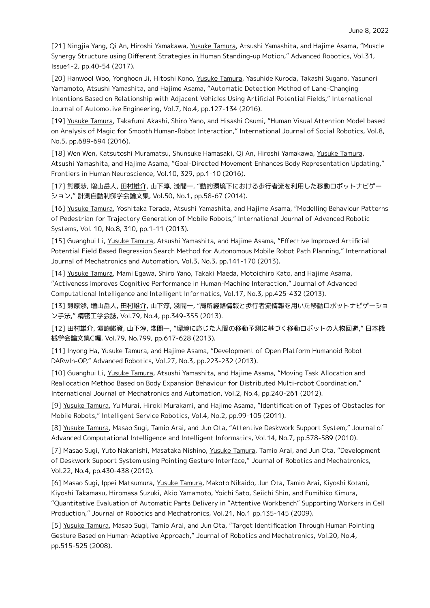[21] Ningjia Yang, Qi An, Hiroshi Yamakawa, Yusuke Tamura, Atsushi Yamashita, and Hajime Asama, "Muscle Synergy Structure using Different Strategies in Human Standing-up Motion," Advanced Robotics, Vol.31, Issue1-2, pp.40-54 (2017).

[20] Hanwool Woo, Yonghoon Ji, Hitoshi Kono, Yusuke Tamura, Yasuhide Kuroda, Takashi Sugano, Yasunori Yamamoto, Atsushi Yamashita, and Hajime Asama, "Automatic Detection Method of Lane-Changing Intentions Based on Relationship with Adjacent Vehicles Using Artificial Potential Fields," International Journal of Automotive Engineering, Vol.7, No.4, pp.127-134 (2016).

[19] Yusuke Tamura, Takafumi Akashi, Shiro Yano, and Hisashi Osumi, "Human Visual Attention Model based on Analysis of Magic for Smooth Human-Robot Interaction," International Journal of Social Robotics, Vol.8, No.5, pp.689-694 (2016).

[18] Wen Wen, Katsutoshi Muramatsu, Shunsuke Hamasaki, Qi An, Hiroshi Yamakawa, Yusuke Tamura, Atsushi Yamashita, and Hajime Asama, "Goal-Directed Movement Enhances Body Representation Updating," Frontiers in Human Neuroscience, Vol.10, 329, pp.1-10 (2016).

[17] 熊原渉, 増山岳人, 田村雄介, 山下淳, 淺間一, "動的環境下における歩行者流を利用した移動ロボットナビゲー ション," 計測自動制御学会論文集, Vol.50, No.1, pp.58-67 (2014).

[16] Yusuke Tamura, Yoshitaka Terada, Atsushi Yamashita, and Hajime Asama, "Modelling Behaviour Patterns of Pedestrian for Trajectory Generation of Mobile Robots," International Journal of Advanced Robotic Systems, Vol. 10, No.8, 310, pp.1-11 (2013).

[15] Guanghui Li, Yusuke Tamura, Atsushi Yamashita, and Hajime Asama, "Effective Improved Artificial Potential Field Based Regression Search Method for Autonomous Mobile Robot Path Planning," International Journal of Mechatronics and Automation, Vol.3, No.3, pp.141-170 (2013).

[14] Yusuke Tamura, Mami Egawa, Shiro Yano, Takaki Maeda, Motoichiro Kato, and Hajime Asama, "Activeness Improves Cognitive Performance in Human-Machine Interaction," Journal of Advanced Computational Intelligence and Intelligent Informatics, Vol.17, No.3, pp.425-432 (2013).

[13] 熊原渉, 増山岳人, 田村雄介, 山下淳, 淺間一, "局所経路情報と歩行者流情報を用いた移動ロボットナビゲーショ ン手法," 精密工学会誌, Vol.79, No.4, pp.349-355 (2013).

[12] 田村雄介, 濱崎峻資, 山下淳, 淺間一, "環境に応じた人間の移動予測に基づく移動ロボットの人物回避," 日本機 械学会論文集C編, Vol.79, No.799, pp.617-628 (2013).

[11] Inyong Ha, Yusuke Tamura, and Hajime Asama, "Development of Open Platform Humanoid Robot DARwIn-OP," Advanced Robotics, Vol.27, No.3, pp.223-232 (2013).

[10] Guanghui Li, Yusuke Tamura, Atsushi Yamashita, and Hajime Asama, "Moving Task Allocation and Reallocation Method Based on Body Expansion Behaviour for Distributed Multi-robot Coordination," International Journal of Mechatronics and Automation, Vol.2, No.4, pp.240-261 (2012).

[9] Yusuke Tamura, Yu Murai, Hiroki Murakami, and Hajime Asama, "Identification of Types of Obstacles for Mobile Robots," Intelligent Service Robotics, Vol.4, No.2, pp.99-105 (2011).

[8] Yusuke Tamura, Masao Sugi, Tamio Arai, and Jun Ota, "Attentive Deskwork Support System," Journal of Advanced Computational Intelligence and Intelligent Informatics, Vol.14, No.7, pp.578-589 (2010).

[7] Masao Sugi, Yuto Nakanishi, Masataka Nishino, Yusuke Tamura, Tamio Arai, and Jun Ota, "Development of Deskwork Support System using Pointing Gesture Interface," Journal of Robotics and Mechatronics, Vol.22, No.4, pp.430-438 (2010).

[6] Masao Sugi, Ippei Matsumura, Yusuke Tamura, Makoto Nikaido, Jun Ota, Tamio Arai, Kiyoshi Kotani, Kiyoshi Takamasu, Hiromasa Suzuki, Akio Yamamoto, Yoichi Sato, Seiichi Shin, and Fumihiko Kimura, "Quantitative Evaluation of Automatic Parts Delivery in "Attentive Workbench" Supporting Workers in Cell Production," Journal of Robotics and Mechatronics, Vol.21, No.1 pp.135-145 (2009).

[5] Yusuke Tamura, Masao Sugi, Tamio Arai, and Jun Ota, "Target Identification Through Human Pointing Gesture Based on Human-Adaptive Approach," Journal of Robotics and Mechatronics, Vol.20, No.4, pp.515-525 (2008).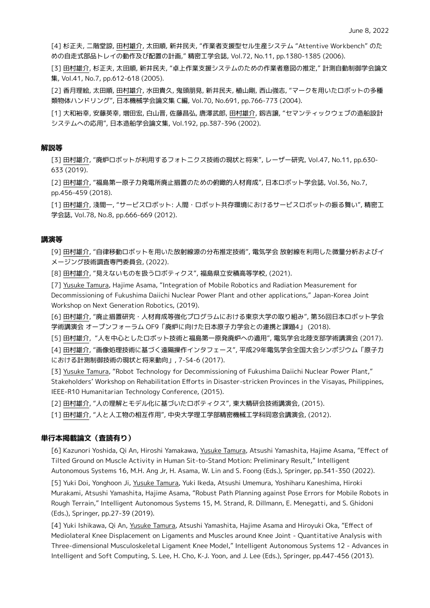[4] 杉正夫, 二階堂諒, 田村雄介, 太田順, 新井民夫, "作業者支援型セル生産システム "Attentive Workbench" のた めの自走式部品トレイの動作及び配置の計画," 精密工学会誌, Vol.72, No.11, pp.1380-1385 (2006).

[3] 田村雄介, 杉正夫, 太田順, 新井民夫, "卓上作業支援システムのための作業者意図の推定," 計測自動制御学会論文 集, Vol.41, No.7, pp.612-618 (2005).

[2] 香月理絵, 太田順, 田村雄介, 水田貴久, 鬼頭朋見, 新井民夫, 植山剛, 西山強志, "マークを用いたロボットの多種 類物体ハンドリング", 日本機械学会論文集 C編, Vol.70, No.691, pp.766-773 (2004).

[1] 大和裕幸, 安藤英幸, 増田宏, 白山晋, 佐藤昌弘, 唐澤武郎, 田村雄介, 釼吉譲, "セマンティックウェブの造船設計 システムへの応用", 日本造船学会論文集, Vol.192, pp.387-396 (2002).

#### **解説等**

[3] 田村雄介, "廃炉ロボットが利用するフォトニクス技術の現状と将来", レーザー研究, Vol.47, No.11, pp.630- 633 (2019).

[2] 田村雄介, "福島第一原子力発電所廃止措置のための俯瞰的人材育成", 日本ロボット学会誌, Vol.36, No.7, pp.456-459 (2018).

[1] 田村雄介, 淺間一, "サービスロボット: 人間・ロボット共存環境におけるサービスロボットの振る舞い", 精密工 学会誌, Vol.78, No.8, pp.666-669 (2012).

#### **講演等**

[9] 田村雄介, "自律移動ロボットを用いた放射線源の分布推定技術", 電気学会 放射線を利用した微量分析およびイ メージング技術調査専門委員会, (2022).

[8] 田村雄介, "見えないものを扱うロボティクス", 福島県立安積高等学校, (2021).

[7] Yusuke Tamura, Hajime Asama, "Integration of Mobile Robotics and Radiation Measurement for Decommissioning of Fukushima Daiichi Nuclear Power Plant and other applications," Japan-Korea Joint Workshop on Next Generation Robotics, (2019).

[6] 田村雄介, "廃止措置研究・人材育成等強化プログラムにおける東京大学の取り組み", 第36回日本ロボット学会 学術講演会 オープンフォーラム OF9「廃炉に向けた日本原子力学会との連携と課題4」 (2018).

[5] 田村雄介, "人を中心としたロボット技術と福島第一原発廃炉への適用", 電気学会北陸支部学術講演会 (2017).

[4] 田村雄介, "画像処理技術に基づく遠隔操作インタフェース", 平成29年電気学会全国大会シンポジウム「原子力 における計測制御技術の現状と将来動向」, 7-S4-6 (2017).

[3] Yusuke Tamura, "Robot Technology for Decommissioning of Fukushima Daiichi Nuclear Power Plant," Stakeholders' Workshop on Rehabilitation Efforts in Disaster-stricken Provinces in the Visayas, Philippines, IEEE-R10 Humanitarian Technology Conference, (2015).

[2] 田村雄介, "人の理解とモデル化に基づいたロボティクス", 東大精研会技術講演会, (2015).

[1] 田村雄介, "人と人工物の相互作用", 中央大学理工学部精密機械工学科同窓会講演会, (2012).

## **単行本掲載論文(査読有り)**

[6] Kazunori Yoshida, Qi An, Hiroshi Yamakawa, Yusuke Tamura, Atsushi Yamashita, Hajime Asama, "Effect of Tilted Ground on Muscle Activity in Human Sit-to-Stand Motion: Preliminary Result," Intelligent Autonomous Systems 16, M.H. Ang Jr, H. Asama, W. Lin and S. Foong (Eds.), Springer, pp.341-350 (2022).

[5] Yuki Doi, Yonghoon Ji, Yusuke Tamura, Yuki Ikeda, Atsushi Umemura, Yoshiharu Kaneshima, Hiroki Murakami, Atsushi Yamashita, Hajime Asama, "Robust Path Planning against Pose Errors for Mobile Robots in Rough Terrain," Intelligent Autonomous Systems 15, M. Strand, R. Dillmann, E. Menegatti, and S. Ghidoni (Eds.), Springer, pp.27-39 (2019).

[4] Yuki Ishikawa, Qi An, Yusuke Tamura, Atsushi Yamashita, Hajime Asama and Hiroyuki Oka, "Effect of Mediolateral Knee Displacement on Ligaments and Muscles around Knee Joint - Quantitative Analysis with Three-dimensional Musculoskeletal Ligament Knee Model," Intelligent Autonomous Systems 12 - Advances in Intelligent and Soft Computing, S. Lee, H. Cho, K-J. Yoon, and J. Lee (Eds.), Springer, pp.447-456 (2013).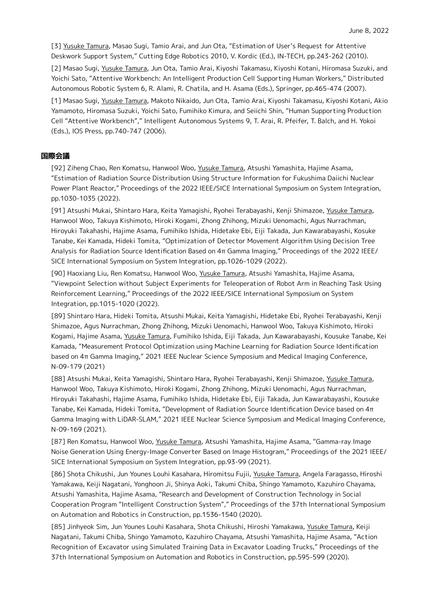[3] Yusuke Tamura, Masao Sugi, Tamio Arai, and Jun Ota, "Estimation of User's Request for Attentive Deskwork Support System," Cutting Edge Robotics 2010, V. Kordic (Ed.), IN-TECH, pp.243-262 (2010).

[2] Masao Sugi, Yusuke Tamura, Jun Ota, Tamio Arai, Kiyoshi Takamasu, Kiyoshi Kotani, Hiromasa Suzuki, and Yoichi Sato, "Attentive Workbench: An Intelligent Production Cell Supporting Human Workers," Distributed Autonomous Robotic System 6, R. Alami, R. Chatila, and H. Asama (Eds.), Springer, pp.465-474 (2007).

[1] Masao Sugi, Yusuke Tamura, Makoto Nikaido, Jun Ota, Tamio Arai, Kiyoshi Takamasu, Kiyoshi Kotani, Akio Yamamoto, Hiromasa Suzuki, Yoichi Sato, Fumihiko Kimura, and Seiichi Shin, "Human Supporting Production Cell "Attentive Workbench"," Intelligent Autonomous Systems 9, T. Arai, R. Pfeifer, T. Balch, and H. Yokoi (Eds.), IOS Press, pp.740-747 (2006).

# **国際会議**

[92] Ziheng Chao, Ren Komatsu, Hanwool Woo, Yusuke Tamura, Atsushi Yamashita, Hajime Asama, "Estimation of Radiation Source Distribution Using Structure Information for Fukushima Daiichi Nuclear Power Plant Reactor," Proceedings of the 2022 IEEE/SICE International Symposium on System Integration, pp.1030-1035 (2022).

[91] Atsushi Mukai, Shintaro Hara, Keita Yamagishi, Ryohei Terabayashi, Kenji Shimazoe, Yusuke Tamura, Hanwool Woo, Takuya Kishimoto, Hiroki Kogami, Zhong Zhihong, Mizuki Uenomachi, Agus Nurrachman, Hiroyuki Takahashi, Hajime Asama, Fumihiko Ishida, Hidetake Ebi, Eiji Takada, Jun Kawarabayashi, Kosuke Tanabe, Kei Kamada, Hideki Tomita, "Optimization of Detector Movement Algorithm Using Decision Tree Analysis for Radiation Source Identification Based on 4π Gamma Imaging," Proceedings of the 2022 IEEE/ SICE International Symposium on System Integration, pp.1026-1029 (2022).

[90] Haoxiang Liu, Ren Komatsu, Hanwool Woo, Yusuke Tamura, Atsushi Yamashita, Hajime Asama, "Viewpoint Selection without Subject Experiments for Teleoperation of Robot Arm in Reaching Task Using Reinforcement Learning," Proceedings of the 2022 IEEE/SICE International Symposium on System Integration, pp.1015-1020 (2022).

[89] Shintaro Hara, Hideki Tomita, Atsushi Mukai, Keita Yamagishi, Hidetake Ebi, Ryohei Terabayashi, Kenji Shimazoe, Agus Nurrachman, Zhong Zhihong, Mizuki Uenomachi, Hanwool Woo, Takuya Kishimoto, Hiroki Kogami, Hajime Asama, Yusuke Tamura, Fumihiko Ishida, Eiji Takada, Jun Kawarabayashi, Kousuke Tanabe, Kei Kamada, "Measurement Protocol Optimization using Machine Learning for Radiation Source Identification based on 4π Gamma Imaging," 2021 IEEE Nuclear Science Symposium and Medical Imaging Conference, N-09-179 (2021)

[88] Atsushi Mukai, Keita Yamagishi, Shintaro Hara, Ryohei Terabayashi, Kenji Shimazoe, Yusuke Tamura, Hanwool Woo, Takuya Kishimoto, Hiroki Kogami, Zhong Zhihong, Mizuki Uenomachi, Agus Nurrachman, Hiroyuki Takahashi, Hajime Asama, Fumihiko Ishida, Hidetake Ebi, Eiji Takada, Jun Kawarabayashi, Kousuke Tanabe, Kei Kamada, Hideki Tomita, "Development of Radiation Source Identification Device based on 4π Gamma Imaging with LiDAR-SLAM," 2021 IEEE Nuclear Science Symposium and Medical Imaging Conference, N-09-169 (2021).

[87] Ren Komatsu, Hanwool Woo, Yusuke Tamura, Atsushi Yamashita, Hajime Asama, "Gamma-ray Image Noise Generation Using Energy-Image Converter Based on Image Histogram," Proceedings of the 2021 IEEE/ SICE International Symposium on System Integration, pp.93-99 (2021).

[86] Shota Chikushi, Jun Younes Louhi Kasahara, Hiromitsu Fujii, Yusuke Tamura, Angela Faragasso, Hiroshi Yamakawa, Keiji Nagatani, Yonghoon Ji, Shinya Aoki, Takumi Chiba, Shingo Yamamoto, Kazuhiro Chayama, Atsushi Yamashita, Hajime Asama, "Research and Development of Construction Technology in Social Cooperation Program "Intelligent Construction System"," Proceedings of the 37th International Symposium on Automation and Robotics in Construction, pp.1536-1540 (2020).

[85] Jinhyeok Sim, Jun Younes Louhi Kasahara, Shota Chikushi, Hiroshi Yamakawa, Yusuke Tamura, Keiji Nagatani, Takumi Chiba, Shingo Yamamoto, Kazuhiro Chayama, Atsushi Yamashita, Hajime Asama, "Action Recognition of Excavator using Simulated Training Data in Excavator Loading Trucks," Proceedings of the 37th International Symposium on Automation and Robotics in Construction, pp.595-599 (2020).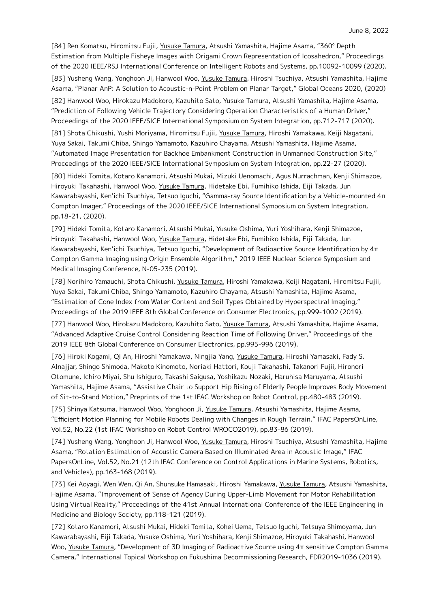[84] Ren Komatsu, Hiromitsu Fujii, Yusuke Tamura, Atsushi Yamashita, Hajime Asama, "360° Depth Estimation from Multiple Fisheye Images with Origami Crown Representation of Icosahedron," Proceedings of the 2020 IEEE/RSJ International Conference on Intelligent Robots and Systems, pp.10092-10099 (2020).

[83] Yusheng Wang, Yonghoon Ji, Hanwool Woo, Yusuke Tamura, Hiroshi Tsuchiya, Atsushi Yamashita, Hajime Asama, "Planar AnP: A Solution to Acoustic-n-Point Problem on Planar Target," Global Oceans 2020, (2020)

[82] Hanwool Woo, Hirokazu Madokoro, Kazuhito Sato, Yusuke Tamura, Atsushi Yamashita, Hajime Asama, "Prediction of Following Vehicle Trajectory Considering Operation Characteristics of a Human Driver," Proceedings of the 2020 IEEE/SICE International Symposium on System Integration, pp.712-717 (2020).

[81] Shota Chikushi, Yushi Moriyama, Hiromitsu Fujii, Yusuke Tamura, Hiroshi Yamakawa, Keiji Nagatani, Yuya Sakai, Takumi Chiba, Shingo Yamamoto, Kazuhiro Chayama, Atsushi Yamashita, Hajime Asama, "Automated Image Presentation for Backhoe Embankment Construction in Unmanned Construction Site," Proceedings of the 2020 IEEE/SICE International Symposium on System Integration, pp.22-27 (2020).

[80] Hideki Tomita, Kotaro Kanamori, Atsushi Mukai, Mizuki Uenomachi, Agus Nurrachman, Kenji Shimazoe, Hiroyuki Takahashi, Hanwool Woo, Yusuke Tamura, Hidetake Ebi, Fumihiko Ishida, Eiji Takada, Jun Kawarabayashi, Ken'ichi Tsuchiya, Tetsuo Iguchi, "Gamma-ray Source Identification by a Vehicle-mounted 4π Compton Imager," Proceedings of the 2020 IEEE/SICE International Symposium on System Integration, pp.18-21, (2020).

[79] Hideki Tomita, Kotaro Kanamori, Atsushi Mukai, Yusuke Oshima, Yuri Yoshihara, Kenji Shimazoe, Hiroyuki Takahashi, Hanwool Woo, Yusuke Tamura, Hidetake Ebi, Fumihiko Ishida, Eiji Takada, Jun Kawarabayashi, Ken'ichi Tsuchiya, Tetsuo Iguchi, "Development of Radioactive Source Identification by 4π Compton Gamma Imaging using Origin Ensemble Algorithm," 2019 IEEE Nuclear Science Symposium and Medical Imaging Conference, N-05-235 (2019).

[78] Norihiro Yamauchi, Shota Chikushi, Yusuke Tamura, Hiroshi Yamakawa, Keiji Nagatani, Hiromitsu Fujii, Yuya Sakai, Takumi Chiba, Shingo Yamamoto, Kazuhiro Chayama, Atsushi Yamashita, Hajime Asama, "Estimation of Cone Index from Water Content and Soil Types Obtained by Hyperspectral Imaging," Proceedings of the 2019 IEEE 8th Global Conference on Consumer Electronics, pp.999-1002 (2019).

[77] Hanwool Woo, Hirokazu Madokoro, Kazuhito Sato, Yusuke Tamura, Atsushi Yamashita, Hajime Asama, "Advanced Adaptive Cruise Control Considering Reaction Time of Following Driver," Proceedings of the 2019 IEEE 8th Global Conference on Consumer Electronics, pp.995-996 (2019).

[76] Hiroki Kogami, Qi An, Hiroshi Yamakawa, Ningjia Yang, Yusuke Tamura, Hiroshi Yamasaki, Fady S. Alnajjar, Shingo Shimoda, Makoto Kinomoto, Noriaki Hattori, Kouji Takahashi, Takanori Fujii, Hironori Otomune, Ichiro Miyai, Shu Ishiguro, Takashi Saigusa, Yoshikazu Nozaki, Haruhisa Maruyama, Atsushi Yamashita, Hajime Asama, "Assistive Chair to Support Hip Rising of Elderly People Improves Body Movement of Sit-to-Stand Motion," Preprints of the 1st IFAC Workshop on Robot Control, pp.480-483 (2019).

[75] Shinya Katsuma, Hanwool Woo, Yonghoon Ji, Yusuke Tamura, Atsushi Yamashita, Hajime Asama, "Efficient Motion Planning for Mobile Robots Dealing with Changes in Rough Terrain," IFAC PapersOnLine, Vol.52, No.22 (1st IFAC Workshop on Robot Control WROCO2019), pp.83-86 (2019).

[74] Yusheng Wang, Yonghoon Ji, Hanwool Woo, Yusuke Tamura, Hiroshi Tsuchiya, Atsushi Yamashita, Hajime Asama, "Rotation Estimation of Acoustic Camera Based on Illuminated Area in Acoustic Image," IFAC PapersOnLine, Vol.52, No.21 (12th IFAC Conference on Control Applications in Marine Systems, Robotics, and Vehicles), pp.163-168 (2019).

[73] Kei Aoyagi, Wen Wen, Qi An, Shunsuke Hamasaki, Hiroshi Yamakawa, Yusuke Tamura, Atsushi Yamashita, Hajime Asama, "Improvement of Sense of Agency During Upper-Limb Movement for Motor Rehabilitation Using Virtual Reality," Proceedings of the 41st Annual International Conference of the IEEE Engineering in Medicine and Biology Society, pp.118-121 (2019).

[72] Kotaro Kanamori, Atsushi Mukai, Hideki Tomita, Kohei Uema, Tetsuo Iguchi, Tetsuya Shimoyama, Jun Kawarabayashi, Eiji Takada, Yusuke Oshima, Yuri Yoshihara, Kenji Shimazoe, Hiroyuki Takahashi, Hanwool Woo, Yusuke Tamura, "Development of 3D Imaging of Radioactive Source using 4π sensitive Compton Gamma Camera," International Topical Workshop on Fukushima Decommissioning Research, FDR2019-1036 (2019).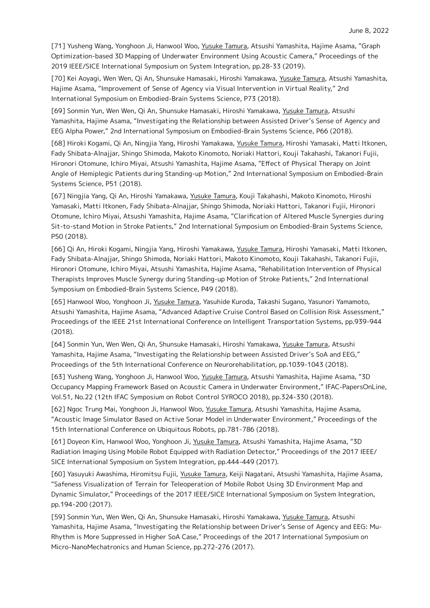[71] Yusheng Wang, Yonghoon Ji, Hanwool Woo, Yusuke Tamura, Atsushi Yamashita, Hajime Asama, "Graph Optimization-based 3D Mapping of Underwater Environment Using Acoustic Camera," Proceedings of the 2019 IEEE/SICE International Symposium on System Integration, pp.28-33 (2019).

[70] Kei Aoyagi, Wen Wen, Qi An, Shunsuke Hamasaki, Hiroshi Yamakawa, Yusuke Tamura, Atsushi Yamashita, Hajime Asama, "Improvement of Sense of Agency via Visual Intervention in Virtual Reality," 2nd International Symposium on Embodied-Brain Systems Science, P73 (2018).

[69] Sonmin Yun, Wen Wen, Qi An, Shunsuke Hamasaki, Hiroshi Yamakawa, Yusuke Tamura, Atsushi Yamashita, Hajime Asama, "Investigating the Relationship between Assisted Driver's Sense of Agency and EEG Alpha Power," 2nd International Symposium on Embodied-Brain Systems Science, P66 (2018).

[68] Hiroki Kogami, Qi An, Ningjia Yang, Hiroshi Yamakawa, Yusuke Tamura, Hiroshi Yamasaki, Matti Itkonen, Fady Shibata-Alnajjar, Shingo Shimoda, Makoto Kinomoto, Noriaki Hattori, Kouji Takahashi, Takanori Fujii, Hironori Otomune, Ichiro Miyai, Atsushi Yamashita, Hajime Asama, "Effect of Physical Therapy on Joint Angle of Hemiplegic Patients during Standing-up Motion," 2nd International Symposium on Embodied-Brain Systems Science, P51 (2018).

[67] Ningjia Yang, Qi An, Hiroshi Yamakawa, Yusuke Tamura, Kouji Takahashi, Makoto Kinomoto, Hiroshi Yamasaki, Matti Itkonen, Fady Shibata-Alnajjar, Shingo Shimoda, Noriaki Hattori, Takanori Fujii, Hironori Otomune, Ichiro Miyai, Atsushi Yamashita, Hajime Asama, "Clarification of Altered Muscle Synergies during Sit-to-stand Motion in Stroke Patients," 2nd International Symposium on Embodied-Brain Systems Science, P50 (2018).

[66] Qi An, Hiroki Kogami, Ningjia Yang, Hiroshi Yamakawa, Yusuke Tamura, Hiroshi Yamasaki, Matti Itkonen, Fady Shibata-Alnajjar, Shingo Shimoda, Noriaki Hattori, Makoto Kinomoto, Kouji Takahashi, Takanori Fujii, Hironori Otomune, Ichiro Miyai, Atsushi Yamashita, Hajime Asama, "Rehabilitation Intervention of Physical Therapists Improves Muscle Synergy during Standing-up Motion of Stroke Patients," 2nd International Symposium on Embodied-Brain Systems Science, P49 (2018).

[65] Hanwool Woo, Yonghoon Ji, Yusuke Tamura, Yasuhide Kuroda, Takashi Sugano, Yasunori Yamamoto, Atsushi Yamashita, Hajime Asama, "Advanced Adaptive Cruise Control Based on Collision Risk Assessment," Proceedings of the IEEE 21st International Conference on Intelligent Transportation Systems, pp.939-944 (2018).

[64] Sonmin Yun, Wen Wen, Qi An, Shunsuke Hamasaki, Hiroshi Yamakawa, Yusuke Tamura, Atsushi Yamashita, Hajime Asama, "Investigating the Relationship between Assisted Driver's SoA and EEG," Proceedings of the 5th International Conference on Neurorehabilitation, pp.1039-1043 (2018).

[63] Yusheng Wang, Yonghoon Ji, Hanwool Woo, Yusuke Tamura, Atsushi Yamashita, Hajime Asama, "3D Occupancy Mapping Framework Based on Acoustic Camera in Underwater Environment," IFAC-PapersOnLine, Vol.51, No.22 (12th IFAC Symposium on Robot Control SYROCO 2018), pp.324-330 (2018).

[62] Ngoc Trung Mai, Yonghoon Ji, Hanwool Woo, Yusuke Tamura, Atsushi Yamashita, Hajime Asama, "Acoustic Image Simulator Based on Active Sonar Model in Underwater Environment," Proceedings of the 15th International Conference on Ubiquitous Robots, pp.781-786 (2018).

[61] Doyeon Kim, Hanwool Woo, Yonghoon Ji, Yusuke Tamura, Atsushi Yamashita, Hajime Asama, "3D Radiation Imaging Using Mobile Robot Equipped with Radiation Detector," Proceedings of the 2017 IEEE/ SICE International Symposium on System Integration, pp.444-449 (2017).

[60] Yasuyuki Awashima, Hiromitsu Fujii, Yusuke Tamura, Keiji Nagatani, Atsushi Yamashita, Hajime Asama, "Safeness Visualization of Terrain for Teleoperation of Mobile Robot Using 3D Environment Map and Dynamic Simulator," Proceedings of the 2017 IEEE/SICE International Symposium on System Integration, pp.194-200 (2017).

[59] Sonmin Yun, Wen Wen, Qi An, Shunsuke Hamasaki, Hiroshi Yamakawa, Yusuke Tamura, Atsushi Yamashita, Hajime Asama, "Investigating the Relationship between Driver's Sense of Agency and EEG: Mu-Rhythm is More Suppressed in Higher SoA Case," Proceedings of the 2017 International Symposium on Micro-NanoMechatronics and Human Science, pp.272-276 (2017).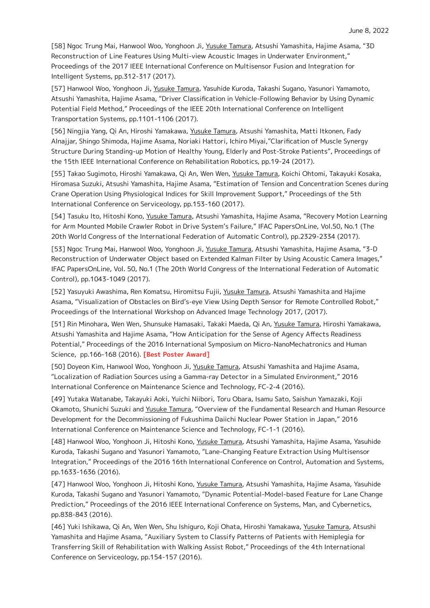[58] Ngoc Trung Mai, Hanwool Woo, Yonghoon Ji, Yusuke Tamura, Atsushi Yamashita, Hajime Asama, "3D Reconstruction of Line Features Using Multi-view Acoustic Images in Underwater Environment," Proceedings of the 2017 IEEE International Conference on Multisensor Fusion and Integration for Intelligent Systems, pp.312-317 (2017).

[57] Hanwool Woo, Yonghoon Ji, Yusuke Tamura, Yasuhide Kuroda, Takashi Sugano, Yasunori Yamamoto, Atsushi Yamashita, Hajime Asama, "Driver Classification in Vehicle-Following Behavior by Using Dynamic Potential Field Method," Proceedings of the IEEE 20th International Conference on Intelligent Transportation Systems, pp.1101-1106 (2017).

[56] Ningjia Yang, Qi An, Hiroshi Yamakawa, Yusuke Tamura, Atsushi Yamashita, Matti Itkonen, Fady Alnajjar, Shingo Shimoda, Hajime Asama, Noriaki Hattori, Ichiro Miyai,"Clarification of Muscle Synergy Structure During Standing-up Motion of Healthy Young, Elderly and Post-Stroke Patients", Proceedings of the 15th IEEE International Conference on Rehabilitation Robotics, pp.19-24 (2017).

[55] Takao Sugimoto, Hiroshi Yamakawa, Qi An, Wen Wen, Yusuke Tamura, Koichi Ohtomi, Takayuki Kosaka, Hiromasa Suzuki, Atsushi Yamashita, Hajime Asama, "Estimation of Tension and Concentration Scenes during Crane Operation Using Physiological Indices for Skill Improvement Support," Proceedings of the 5th International Conference on Serviceology, pp.153-160 (2017).

[54] Tasuku Ito, Hitoshi Kono, Yusuke Tamura, Atsushi Yamashita, Hajime Asama, "Recovery Motion Learning for Arm Mounted Mobile Crawler Robot in Drive System's Failure," IFAC PapersOnLine, Vol.50, No.1 (The 20th World Congress of the International Federation of Automatic Control), pp.2329-2334 (2017).

[53] Ngoc Trung Mai, Hanwool Woo, Yonghoon Ji, Yusuke Tamura, Atsushi Yamashita, Hajime Asama, "3-D Reconstruction of Underwater Object based on Extended Kalman Filter by Using Acoustic Camera Images," IFAC PapersOnLine, Vol. 50, No.1 (The 20th World Congress of the International Federation of Automatic Control), pp.1043-1049 (2017).

[52] Yasuyuki Awashima, Ren Komatsu, Hiromitsu Fujii, Yusuke Tamura, Atsushi Yamashita and Hajime Asama, "Visualization of Obstacles on Bird's-eye View Using Depth Sensor for Remote Controlled Robot," Proceedings of the International Workshop on Advanced Image Technology 2017, (2017).

[51] Rin Minohara, Wen Wen, Shunsuke Hamasaki, Takaki Maeda, Qi An, Yusuke Tamura, Hiroshi Yamakawa, Atsushi Yamashita and Hajime Asama, "How Anticipation for the Sense of Agency Affects Readiness Potential," Proceedings of the 2016 International Symposium on Micro-NanoMechatronics and Human Science, pp.166-168 (2016). **[Best Poster Award]**

[50] Doyeon Kim, Hanwool Woo, Yonghoon Ji, Yusuke Tamura, Atsushi Yamashita and Hajime Asama, "Localization of Radiation Sources using a Gamma-ray Detector in a Simulated Environment," 2016 International Conference on Maintenance Science and Technology, FC-2-4 (2016).

[49] Yutaka Watanabe, Takayuki Aoki, Yuichi Niibori, Toru Obara, Isamu Sato, Saishun Yamazaki, Koji Okamoto, Shunichi Suzuki and Yusuke Tamura, "Overview of the Fundamental Research and Human Resource Development for the Decommissioning of Fukushima Daiichi Nuclear Power Station in Japan," 2016 International Conference on Maintenance Science and Technology, FC-1-1 (2016).

[48] Hanwool Woo, Yonghoon Ji, Hitoshi Kono, Yusuke Tamura, Atsushi Yamashita, Hajime Asama, Yasuhide Kuroda, Takashi Sugano and Yasunori Yamamoto, "Lane-Changing Feature Extraction Using Multisensor Integration," Proceedings of the 2016 16th International Conference on Control, Automation and Systems, pp.1633-1636 (2016).

[47] Hanwool Woo, Yonghoon Ji, Hitoshi Kono, Yusuke Tamura, Atsushi Yamashita, Hajime Asama, Yasuhide Kuroda, Takashi Sugano and Yasunori Yamamoto, "Dynamic Potential-Model-based Feature for Lane Change Prediction," Proceedings of the 2016 IEEE International Conference on Systems, Man, and Cybernetics, pp.838-843 (2016).

[46] Yuki Ishikawa, Qi An, Wen Wen, Shu Ishiguro, Koji Ohata, Hiroshi Yamakawa, Yusuke Tamura, Atsushi Yamashita and Hajime Asama, "Auxiliary System to Classify Patterns of Patients with Hemiplegia for Transferring Skill of Rehabilitation with Walking Assist Robot," Proceedings of the 4th International Conference on Serviceology, pp.154-157 (2016).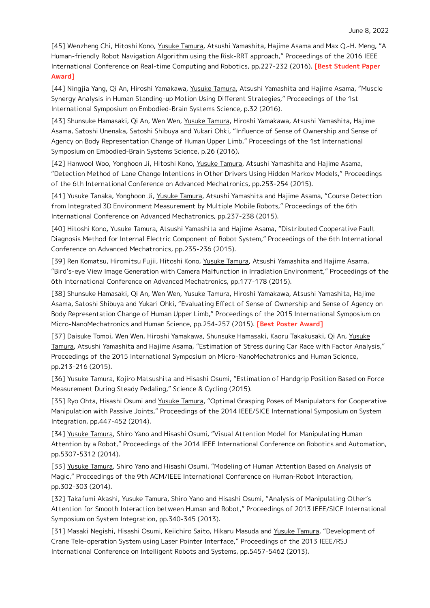[45] Wenzheng Chi, Hitoshi Kono, Yusuke Tamura, Atsushi Yamashita, Hajime Asama and Max Q.-H. Meng, "A Human-friendly Robot Navigation Algorithm using the Risk-RRT approach," Proceedings of the 2016 IEEE International Conference on Real-time Computing and Robotics, pp.227-232 (2016). **[Best Student Paper Award]**

[44] Ningjia Yang, Qi An, Hiroshi Yamakawa, Yusuke Tamura, Atsushi Yamashita and Hajime Asama, "Muscle Synergy Analysis in Human Standing-up Motion Using Different Strategies," Proceedings of the 1st International Symposium on Embodied-Brain Systems Science, p.32 (2016).

[43] Shunsuke Hamasaki, Qi An, Wen Wen, Yusuke Tamura, Hiroshi Yamakawa, Atsushi Yamashita, Hajime Asama, Satoshi Unenaka, Satoshi Shibuya and Yukari Ohki, "Influence of Sense of Ownership and Sense of Agency on Body Representation Change of Human Upper Limb," Proceedings of the 1st International Symposium on Embodied-Brain Systems Science, p.26 (2016).

[42] Hanwool Woo, Yonghoon Ji, Hitoshi Kono, Yusuke Tamura, Atsushi Yamashita and Hajime Asama, "Detection Method of Lane Change Intentions in Other Drivers Using Hidden Markov Models," Proceedings of the 6th International Conference on Advanced Mechatronics, pp.253-254 (2015).

[41] Yusuke Tanaka, Yonghoon Ji, Yusuke Tamura, Atsushi Yamashita and Hajime Asama, "Course Detection from Integrated 3D Environment Measurement by Multiple Mobile Robots," Proceedings of the 6th International Conference on Advanced Mechatronics, pp.237-238 (2015).

[40] Hitoshi Kono, Yusuke Tamura, Atsushi Yamashita and Hajime Asama, "Distributed Cooperative Fault Diagnosis Method for Internal Electric Component of Robot System," Proceedings of the 6th International Conference on Advanced Mechatronics, pp.235-236 (2015).

[39] Ren Komatsu, Hiromitsu Fujii, Hitoshi Kono, Yusuke Tamura, Atsushi Yamashita and Hajime Asama, "Bird's-eye View Image Generation with Camera Malfunction in Irradiation Environment," Proceedings of the 6th International Conference on Advanced Mechatronics, pp.177-178 (2015).

[38] Shunsuke Hamasaki, Qi An, Wen Wen, Yusuke Tamura, Hiroshi Yamakawa, Atsushi Yamashita, Hajime Asama, Satoshi Shibuya and Yukari Ohki, "Evaluating Effect of Sense of Ownership and Sense of Agency on Body Representation Change of Human Upper Limb," Proceedings of the 2015 International Symposium on Micro-NanoMechatronics and Human Science, pp.254-257 (2015). **[Best Poster Award]**

[37] Daisuke Tomoi, Wen Wen, Hiroshi Yamakawa, Shunsuke Hamasaki, Kaoru Takakusaki, Qi An, Yusuke Tamura, Atsushi Yamashita and Hajime Asama, "Estimation of Stress during Car Race with Factor Analysis," Proceedings of the 2015 International Symposium on Micro-NanoMechatronics and Human Science, pp.213-216 (2015).

[36] Yusuke Tamura, Kojiro Matsushita and Hisashi Osumi, "Estimation of Handgrip Position Based on Force Measurement During Steady Pedaling," Science & Cycling (2015).

[35] Ryo Ohta, Hisashi Osumi and Yusuke Tamura, "Optimal Grasping Poses of Manipulators for Cooperative Manipulation with Passive Joints," Proceedings of the 2014 IEEE/SICE International Symposium on System Integration, pp.447-452 (2014).

[34] Yusuke Tamura, Shiro Yano and Hisashi Osumi, "Visual Attention Model for Manipulating Human Attention by a Robot," Proceedings of the 2014 IEEE International Conference on Robotics and Automation, pp.5307-5312 (2014).

[33] Yusuke Tamura, Shiro Yano and Hisashi Osumi, "Modeling of Human Attention Based on Analysis of Magic," Proceedings of the 9th ACM/IEEE International Conference on Human-Robot Interaction, pp.302-303 (2014).

[32] Takafumi Akashi, Yusuke Tamura, Shiro Yano and Hisashi Osumi, "Analysis of Manipulating Other's Attention for Smooth Interaction between Human and Robot," Proceedings of 2013 IEEE/SICE International Symposium on System Integration, pp.340-345 (2013).

[31] Masaki Negishi, Hisashi Osumi, Keiichiro Saito, Hikaru Masuda and Yusuke Tamura, "Development of Crane Tele-operation System using Laser Pointer Interface," Proceedings of the 2013 IEEE/RSJ International Conference on Intelligent Robots and Systems, pp.5457-5462 (2013).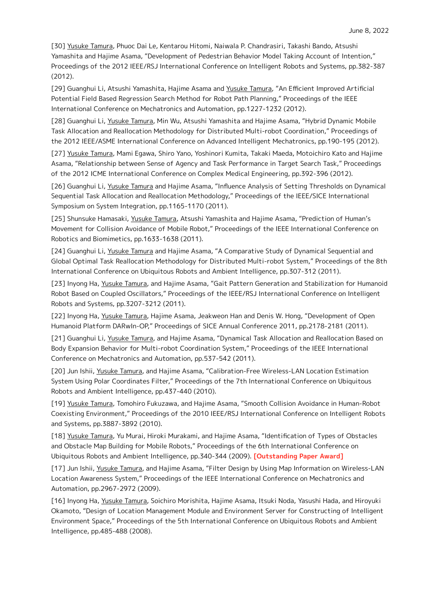[30] Yusuke Tamura, Phuoc Dai Le, Kentarou Hitomi, Naiwala P. Chandrasiri, Takashi Bando, Atsushi Yamashita and Hajime Asama, "Development of Pedestrian Behavior Model Taking Account of Intention," Proceedings of the 2012 IEEE/RSJ International Conference on Intelligent Robots and Systems, pp.382-387 (2012).

[29] Guanghui Li, Atsushi Yamashita, Hajime Asama and Yusuke Tamura, "An Efficient Improved Artificial Potential Field Based Regression Search Method for Robot Path Planning," Proceedings of the IEEE International Conference on Mechatronics and Automation, pp.1227-1232 (2012).

[28] Guanghui Li, Yusuke Tamura, Min Wu, Atsushi Yamashita and Hajime Asama, "Hybrid Dynamic Mobile Task Allocation and Reallocation Methodology for Distributed Multi-robot Coordination," Proceedings of the 2012 IEEE/ASME International Conference on Advanced Intelligent Mechatronics, pp.190-195 (2012).

[27] Yusuke Tamura, Mami Egawa, Shiro Yano, Yoshinori Kumita, Takaki Maeda, Motoichiro Kato and Hajime Asama, "Relationship between Sense of Agency and Task Performance in Target Search Task," Proceedings of the 2012 ICME International Conference on Complex Medical Engineering, pp.392-396 (2012).

[26] Guanghui Li, Yusuke Tamura and Hajime Asama, "Influence Analysis of Setting Thresholds on Dynamical Sequential Task Allocation and Reallocation Methodology," Proceedings of the IEEE/SICE International Symposium on System Integration, pp.1165-1170 (2011).

[25] Shunsuke Hamasaki, Yusuke Tamura, Atsushi Yamashita and Hajime Asama, "Prediction of Human's Movement for Collision Avoidance of Mobile Robot," Proceedings of the IEEE International Conference on Robotics and Biomimetics, pp.1633-1638 (2011).

[24] Guanghui Li, Yusuke Tamura and Hajime Asama, "A Comparative Study of Dynamical Sequential and Global Optimal Task Reallocation Methodology for Distributed Multi-robot System," Proceedings of the 8th International Conference on Ubiquitous Robots and Ambient Intelligence, pp.307-312 (2011).

[23] Inyong Ha, Yusuke Tamura, and Hajime Asama, "Gait Pattern Generation and Stabilization for Humanoid Robot Based on Coupled Oscillators," Proceedings of the IEEE/RSJ International Conference on Intelligent Robots and Systems, pp.3207-3212 (2011).

[22] Inyong Ha, Yusuke Tamura, Hajime Asama, Jeakweon Han and Denis W. Hong, "Development of Open Humanoid Platform DARwIn-OP," Proceedings of SICE Annual Conference 2011, pp.2178-2181 (2011).

[21] Guanghui Li, Yusuke Tamura, and Hajime Asama, "Dynamical Task Allocation and Reallocation Based on Body Expansion Behavior for Multi-robot Coordination System," Proceedings of the IEEE International Conference on Mechatronics and Automation, pp.537-542 (2011).

[20] Jun Ishii, Yusuke Tamura, and Hajime Asama, "Calibration-Free Wireless-LAN Location Estimation System Using Polar Coordinates Filter," Proceedings of the 7th International Conference on Ubiquitous Robots and Ambient Intelligence, pp.437-440 (2010).

[19] Yusuke Tamura, Tomohiro Fukuzawa, and Hajime Asama, "Smooth Collision Avoidance in Human-Robot Coexisting Environment," Proceedings of the 2010 IEEE/RSJ International Conference on Intelligent Robots and Systems, pp.3887-3892 (2010).

[18] Yusuke Tamura, Yu Murai, Hiroki Murakami, and Hajime Asama, "Identification of Types of Obstacles and Obstacle Map Building for Mobile Robots," Proceedings of the 6th International Conference on Ubiquitous Robots and Ambient Intelligence, pp.340-344 (2009). **[Outstanding Paper Award]**

[17] Jun Ishii, Yusuke Tamura, and Hajime Asama, "Filter Design by Using Map Information on Wireless-LAN Location Awareness System," Proceedings of the IEEE International Conference on Mechatronics and Automation, pp.2967-2972 (2009).

[16] Inyong Ha, Yusuke Tamura, Soichiro Morishita, Hajime Asama, Itsuki Noda, Yasushi Hada, and Hiroyuki Okamoto, "Design of Location Management Module and Environment Server for Constructing of Intelligent Environment Space," Proceedings of the 5th International Conference on Ubiquitous Robots and Ambient Intelligence, pp.485-488 (2008).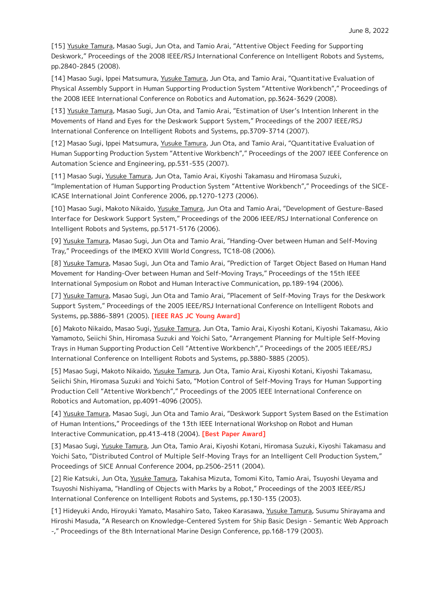[15] Yusuke Tamura, Masao Sugi, Jun Ota, and Tamio Arai, "Attentive Object Feeding for Supporting Deskwork," Proceedings of the 2008 IEEE/RSJ International Conference on Intelligent Robots and Systems, pp.2840-2845 (2008).

[14] Masao Sugi, Ippei Matsumura, Yusuke Tamura, Jun Ota, and Tamio Arai, "Quantitative Evaluation of Physical Assembly Support in Human Supporting Production System "Attentive Workbench"," Proceedings of the 2008 IEEE International Conference on Robotics and Automation, pp.3624-3629 (2008).

[13] Yusuke Tamura, Masao Sugi, Jun Ota, and Tamio Arai, "Estimation of User's Intention Inherent in the Movements of Hand and Eyes for the Deskwork Support System," Proceedings of the 2007 IEEE/RSJ International Conference on Intelligent Robots and Systems, pp.3709-3714 (2007).

[12] Masao Sugi, Ippei Matsumura, Yusuke Tamura, Jun Ota, and Tamio Arai, "Quantitative Evaluation of Human Supporting Production System "Attentive Workbench"," Proceedings of the 2007 IEEE Conference on Automation Science and Engineering, pp.531-535 (2007).

[11] Masao Sugi, Yusuke Tamura, Jun Ota, Tamio Arai, Kiyoshi Takamasu and Hiromasa Suzuki, "Implementation of Human Supporting Production System "Attentive Workbench"," Proceedings of the SICE-ICASE International Joint Conference 2006, pp.1270-1273 (2006).

[10] Masao Sugi, Makoto Nikaido, Yusuke Tamura, Jun Ota and Tamio Arai, "Development of Gesture-Based Interface for Deskwork Support System," Proceedings of the 2006 IEEE/RSJ International Conference on Intelligent Robots and Systems, pp.5171-5176 (2006).

[9] Yusuke Tamura, Masao Sugi, Jun Ota and Tamio Arai, "Handing-Over between Human and Self-Moving Tray," Proceedings of the IMEKO XVIII World Congress, TC18-08 (2006).

[8] Yusuke Tamura, Masao Sugi, Jun Ota and Tamio Arai, "Prediction of Target Object Based on Human Hand Movement for Handing-Over between Human and Self-Moving Trays," Proceedings of the 15th IEEE International Symposium on Robot and Human Interactive Communication, pp.189-194 (2006).

[7] Yusuke Tamura, Masao Sugi, Jun Ota and Tamio Arai, "Placement of Self-Moving Trays for the Deskwork Support System," Proceedings of the 2005 IEEE/RSJ International Conference on Intelligent Robots and Systems, pp.3886-3891 (2005). **[IEEE RAS JC Young Award]**

[6] Makoto Nikaido, Masao Sugi, Yusuke Tamura, Jun Ota, Tamio Arai, Kiyoshi Kotani, Kiyoshi Takamasu, Akio Yamamoto, Seiichi Shin, Hiromasa Suzuki and Yoichi Sato, "Arrangement Planning for Multiple Self-Moving Trays in Human Supporting Production Cell "Attentive Workbench"," Proceedings of the 2005 IEEE/RSJ International Conference on Intelligent Robots and Systems, pp.3880-3885 (2005).

[5] Masao Sugi, Makoto Nikaido, Yusuke Tamura, Jun Ota, Tamio Arai, Kiyoshi Kotani, Kiyoshi Takamasu, Seiichi Shin, Hiromasa Suzuki and Yoichi Sato, "Motion Control of Self-Moving Trays for Human Supporting Production Cell "Attentive Workbench"," Proceedings of the 2005 IEEE International Conference on Robotics and Automation, pp.4091-4096 (2005).

[4] Yusuke Tamura, Masao Sugi, Jun Ota and Tamio Arai, "Deskwork Support System Based on the Estimation of Human Intentions," Proceedings of the 13th IEEE International Workshop on Robot and Human Interactive Communication, pp.413-418 (2004). **[Best Paper Award]**

[3] Masao Sugi, Yusuke Tamura, Jun Ota, Tamio Arai, Kiyoshi Kotani, Hiromasa Suzuki, Kiyoshi Takamasu and Yoichi Sato, "Distributed Control of Multiple Self-Moving Trays for an Intelligent Cell Production System," Proceedings of SICE Annual Conference 2004, pp.2506-2511 (2004).

[2] Rie Katsuki, Jun Ota, Yusuke Tamura, Takahisa Mizuta, Tomomi Kito, Tamio Arai, Tsuyoshi Ueyama and Tsuyoshi Nishiyama, "Handling of Objects with Marks by a Robot," Proceedings of the 2003 IEEE/RSJ International Conference on Intelligent Robots and Systems, pp.130-135 (2003).

[1] Hideyuki Ando, Hiroyuki Yamato, Masahiro Sato, Takeo Karasawa, Yusuke Tamura, Susumu Shirayama and Hiroshi Masuda, "A Research on Knowledge-Centered System for Ship Basic Design - Semantic Web Approach -," Proceedings of the 8th International Marine Design Conference, pp.168-179 (2003).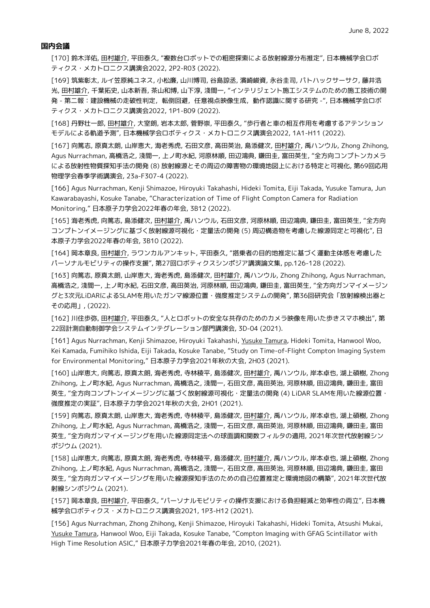#### **国内会議**

[170] 鈴木洋佑, 田村雄介, 平田泰久, "複数台ロボットでの粗密探索による放射線源分布推定", 日本機械学会ロボ ティクス・メカトロニクス講演会2022, 2P2-R03 (2022).

[169] 筑紫彰太, ルイ笠原純ユネス, 小松廉, 山川博司, 谷島諒丞, 濱崎峻資, 永谷圭司, パトハックサーサク, 藤井浩 光, 田村雄介, 千葉拓史, 山本新吾, 茶山和博, 山下淳, 淺間一, "インテリジェント施工システムのための施工技術の開 発 - 第二報 :建設機械の走破性判定,転倒回避,任意視点映像生成,動作認識に関する研究 -",日本機械学会ロボ ティクス・メカトロニクス講演会2022, 1P1-B09 (2022).

[168] 丹野壮一郎, 田村雄介, 大室朗, 岩本太郎, 菅野崇, 平田泰久, "歩行者と車の相互作用を考慮するアテンション モデルによる軌道予測", 日本機械学会ロボティクス・メカトロニクス講演会2022, 1A1-H11 (2022).

[167] 向篤志, 原真太朗, 山岸恵大, 海老秀虎, 石田文彦, 高田英治, 島添健次, 田村雄介, 禹ハンウル, Zhong Zhihong, Agus Nurrachman, 高橋浩之, 淺間一, 上ノ町水紀, 河原林順, 田辺鴻典, 鎌田圭, 富田英生, "全方向コンプトンカメラ による放射性物質探知手法の開発 (8) 放射線源とその周辺の障害物の環境地図上における特定と可視化, 第69回応用 物理学会春季学術講演会, 23a-F307-4 (2022).

[166] Agus Nurrachman, Kenji Shimazoe, Hiroyuki Takahashi, Hideki Tomita, Eiji Takada, Yusuke Tamura, Jun Kawarabayashi, Kosuke Tanabe, "Characterization of Time of Flight Compton Camera for Radiation Monitoring," 日本原子力学会2022年春の年会, 3B12 (2022).

[165] 海老秀虎, 向篤志, 島添健次, 田村雄介, 禹ハンウル, 石田文彦, 河原林順, 田辺鴻典, 鎌田圭, 富田英生, "全方向 コンプトンイメージングに基づく放射線源可視化・定量法の開発 (5) 周辺構造物を考慮した線源同定と可視化", 日 本原子力学会2022年春の年会, 3B10 (2022).

[164] 岡本章良, 田村雄介, ラワンカルアンキット, 平田泰久, "搭乗者の目的地推定に基づく運動主体感を考慮した パーソナルモビリティの操作支援", 第27回ロボティクスシンポジア講演論文集, pp.126-128 (2022).

[163] 向篤志, 原真太朗, 山岸恵大, 海老秀虎, 島添健次, 田村雄介, 禹ハンウル, Zhong Zhihong, Agus Nurrachman, 高橋浩之, 淺間一, 上ノ町水紀, 石田文彦, 高田英治, 河原林順, 田辺鴻典, 鎌田圭, 富田英生, "全方向ガンマイメージン グと3次元LiDARによるSLAMを用いたガンマ線源位置・強度推定システムの開発", 第36回研究会「放射線検出器と その応用」, (2022).

[162] 川住歩弥, 田村雄介, 平田泰久, "人とロボットの安全な共存のためのカメラ映像を用いた歩きスマホ検出", 第 22回計測自動制御学会システムインテグレーション部門講演会, 3D-04 (2021).

[161] Agus Nurrachman, Kenji Shimazoe, Hiroyuki Takahashi, Yusuke Tamura, Hideki Tomita, Hanwool Woo, Kei Kamada, Fumihiko Ishida, Eiji Takada, Kosuke Tanabe, "Study on Time-of-Flight Compton Imaging System for Environmental Monitoring," 日本原子力学会2021年秋の大会, 2H03 (2021).

[160] 山岸恵大, 向篤志, 原真太朗, 海老秀虎, 寺林稜平, 島添健次, 田村雄介, 禹ハンウル, 岸本卓也, 湖上碩樹, Zhong Zhihong, 上ノ町水紀, Agus Nurrachman, 高橋浩之, 淺間一, 石田文彦, 高田英治, 河原林順, 田辺鴻典, 鎌田圭, 富田 英生, "全方向コンプトンイメージングに基づく放射線源可視化・定量法の開発 (4) LiDAR SLAMを用いた線源位置・ 強度推定の実証", 日本原子力学会2021年秋の大会, 2H01 (2021).

[159] 向篤志, 原真太朗, 山岸恵大, 海老秀虎, 寺林稜平, 島添健次, 田村雄介, 禹ハンウル, 岸本卓也, 湖上碩樹, Zhong Zhihong, 上ノ町水紀, Agus Nurrachman, 高橋浩之, 淺間一, 石田文彦, 高田英治, 河原林順, 田辺鴻典, 鎌田圭, 富田 英生, "全方向ガンマイメージングを用いた線源同定法への球面調和関数フィルタの適用, 2021年次世代放射線シン ポジウム (2021).

[158] 山岸恵大, 向篤志, 原真太朗, 海老秀虎, 寺林稜平, 島添健次, 田村雄介, 禹ハンウル, 岸本卓也, 湖上碩樹, Zhong Zhihong, 上ノ町水紀, Agus Nurrachman, 高橋浩之, 淺間一, 石田文彦, 高田英治, 河原林順, 田辺鴻典, 鎌田圭, 富田 英生, "全方向ガンマイメージングを用いた線源探知手法のための自己位置推定と環境地図の構築", 2021年次世代放 射線シンポジウム (2021).

[157] 岡本章良, 田村雄介, 平田泰久, "パーソナルモビリティの操作支援における負担軽減と効率性の両立", 日本機 械学会ロボティクス・メカトロニクス講演会2021, 1P3-H12 (2021).

[156] Agus Nurrachman, Zhong Zhihong, Kenji Shimazoe, Hiroyuki Takahashi, Hideki Tomita, Atsushi Mukai, Yusuke Tamura, Hanwool Woo, Eiji Takada, Kosuke Tanabe, "Compton Imaging with GFAG Scintillator with High Time Resolution ASIC," 日本原子力学会2021年春の年会, 2D10, (2021).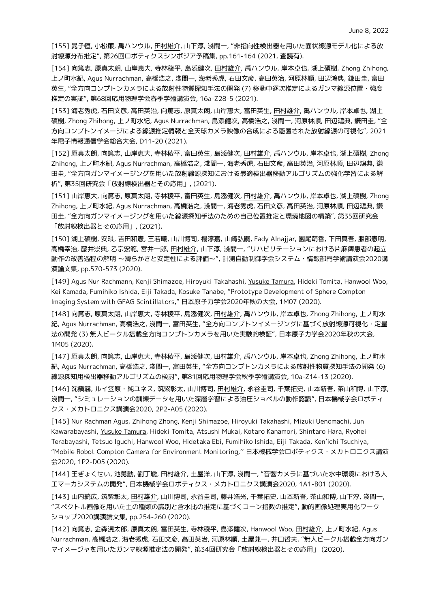[155] 晁子恒, 小松廉, 禹ハンウル, 田村雄介, 山下淳, 淺間一, "非指向性検出器を用いた面状線源モデル化による放 射線源分布推定", 第26回ロボティクスシンポジア予稿集, pp.161-164 (2021, 査読有).

[154] 向篤志, 原真太朗, 山岸恵大, 寺林稜平, 島添健次, 田村雄介, 禹ハンウル, 岸本卓也, 湖上碩樹, Zhong Zhihong, 上ノ町水紀, Agus Nurrachman, 高橋浩之, 淺間一, 海老秀虎, 石田文彦, 高田英治, 河原林順, 田辺鴻典, 鎌田圭, 富田 英生, "全方向コンプトンカメラによる放射性物質探知手法の開発 (7) 移動中逐次推定によるガンマ線源位置・強度 推定の実証", 第68回応用物理学会春季学術講演会, 16a-Z28-5 (2021).

[153] 海老秀虎, 石田文彦, 高田英治, 向篤志, 原真太朗, 山岸恵大, 富田英生, 田村雄介, 禹ハンウル, 岸本卓也, 湖上 碩樹, Zhong Zhihong, 上ノ町水紀, Agus Nurrachman, 島添健次, 高橋浩之, 淺間一, 河原林順, 田辺鴻典, 鎌田圭, "全 方向コンプトンイメージによる線源推定情報と全天球カメラ映像の合成による隠匿された放射線源の可視化", 2021 年電子情報通信学会総合大会, D11-20 (2021).

[152] 原真太朗, 向篤志, 山岸恵大, 寺林稜平, 富田英生, 島添健次, 田村雄介, 禹ハンウル, 岸本卓也, 湖上碩樹, Zhong Zhihong, 上ノ町水紀, Agus Nurrachman, 高橋浩之, 淺間一, 海老秀虎, 石田文彦, 高田英治, 河原林順, 田辺鴻典, 鎌 田圭, "全方向ガンマイメージングを用いた放射線源探知における最適検出器移動アルゴリズムの強化学習による解 析", 第35回研究会「放射線検出器とその応用」, (2021).

[151] 山岸恵大, 向篤志, 原真太朗, 寺林稜平, 富田英生, 島添健次, 田村雄介, 禹ハンウル, 岸本卓也, 湖上碩樹, Zhong Zhihong, 上ノ町水紀, Agus Nurrachman, 高橋浩之, 淺間一, 海老秀虎, 石田文彦, 高田英治, 河原林順, 田辺鴻典, 鎌 田圭, "全方向ガンマイメージングを用いた線源探知手法のための自己位置推定と環境地図の構築", 第35回研究会 「放射線検出器とその応用」, (2021).

[150] 湖上碩樹, 安琪, 吉田和憲, 王若曦, 山川博司, 楊濘嘉, 山崎弘嗣, Fady Alnajjar, 園尾萌香, 下田真吾, 服部憲明, 高橋幸治, 藤井崇典, 乙宗宏範, 宮井一郎, 田村雄介, 山下淳, 淺間一, "リハビリテーションにおける片麻痺患者の起立 動作の改善過程の解明 〜滑らかさと安定性による評価〜", 計測自動制御学会システム・情報部門学術講演会2020講 演論文集, pp.570-573 (2020).

[149] Agus Nur Rachmann, Kenji Shimazoe, Hiroyuki Takahashi, Yusuke Tamura, Hideki Tomita, Hanwool Woo, Kei Kamada, Fumihiko Ishida, Eiji Takada, Kosuke Tanabe, "Prototype Development of Sphere Compton Imaging System with GFAG Scintillators," 日本原子力学会2020年秋の大会, 1M07 (2020).

[148] 向篤志, 原真太朗, 山岸恵大, 寺林稜平, 島添健次, 田村雄介, 禹ハンウル, 岸本卓也, Zhong Zhihong, 上ノ町水 紀, Agus Nurrachman, 高橋浩之, 淺間一, 富田英生, "全方向コンプトンイメージングに基づく放射線源可視化・定量 法の開発 (3) 無人ビークル搭載全方向コンプトンカメラを用いた実験的検証", 日本原子力学会2020年秋の大会, 1M05 (2020).

[147] 原真太朗, 向篤志, 山岸恵大, 寺林稜平, 島添健次, 田村雄介, 禹ハンウル, 岸本卓也, Zhong Zhihong, 上ノ町水 紀, Agus Nurrachman, 高橋浩之, 淺間一, 富田英生, "全方向コンプトンカメラによる放射性物質探知手法の開発 (6) 線源探知用検出器移動アルゴリズムの検討", 第81回応用物理学会秋季学術講演会, 10a-Z14-13 (2020).

[146] 沈鎭赫, ルイ笠原・純ユネス, 筑紫彰太, 山川博司, 田村雄介, 永谷圭司, 千葉拓史, 山本新吾, 茶山和博, 山下淳, 淺間一, "シミュレーションの訓練データを用いた深層学習による油圧ショベルの動作認識", 日本機械学会ロボティ クス・メカトロニクス講演会2020, 2P2-A05 (2020).

[145] Nur Rachman Agus, Zhihong Zhong, Kenji Shimazoe, Hiroyuki Takahashi, Mizuki Uenomachi, Jun Kawarabayashi, Yusuke Tamura, Hideki Tomita, Atsushi Mukai, Kotaro Kanamori, Shintaro Hara, Ryohei Terabayashi, Tetsuo Iguchi, Hanwool Woo, Hidetaka Ebi, Fumihiko Ishida, Eiji Takada, Ken'ichi Tsuchiya, "Mobile Robot Compton Camera for Environment Monitoring,'' 日本機械学会ロボティクス・メカトロニクス講演 会2020, 1P2-D05 (2020).

[144] 王ぎょくせい, 池勇勳, 劉丁瑜, 田村雄介, 土屋洋, 山下淳, 淺間一, "音響カメラに基づいた水中環境における人 工マーカシステムの開発", 日本機械学会ロボティクス・メカトロニクス講演会2020, 1A1-B01 (2020).

[143] 山内統広, 筑紫彰太, 田村雄介, 山川博司, 永谷圭司, 藤井浩光, 千葉拓史, 山本新吾, 茶山和博, 山下淳, 淺間一, "スペクトル画像を用いた土の種類の識別と含水比の推定に基づくコーン指数の推定", 動的画像処理実用化ワーク ショップ2020講演論文集, pp.254-260 (2020).

[142] 向篤志, 金森滉太郎, 原真太朗, 富田英生, 寺林稜平, 島添健次, Hanwool Woo, 田村雄介, 上ノ町水紀, Agus Nurrachman, 高橋浩之, 海老秀虎, 石田文彦, 高田英治, 河原林順, 土屋兼一, 井口哲夫, "無人ビークル搭載全方向ガン マイメージャを用いたガンマ線源推定法の開発", 第34回研究会「放射線検出器とその応用」 (2020).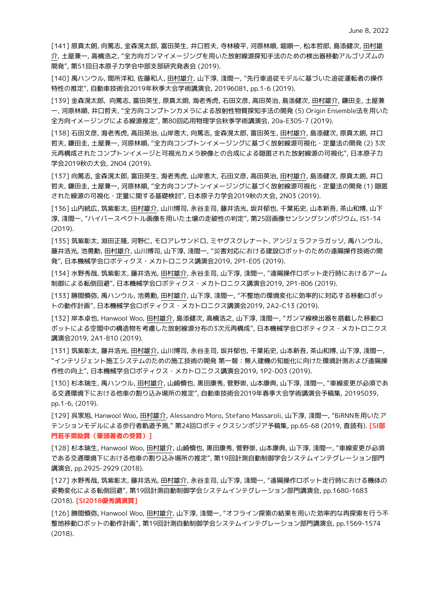[141] 原真太朗, 向篤志, 金森滉太郎, 富田英生, 井口哲夫, 寺林稜平, 河原林順, 堀順一, 松本哲郎, 島添健次, 田村雄 介, 土屋兼一, 高橋浩之, "全方向ガンマイメージングを用いた放射線源探知手法のための検出器移動アルゴリズムの 開発", 第51回日本原子力学会中部支部研究発表会 (2019).

[140] 禹ハンウル, 間所洋和, 佐藤和人, 田村雄介, 山下淳, 淺間一, "先行車追従モデルに基づいた追従運転者の操作 特性の推定", 自動車技術会2019年秋季大会学術講演会, 20196081, pp.1-6 (2019).

[139] 金森滉太郎, 向篤志, 富田英生, 原真太朗, 海老秀虎, 石田文彦, 高田英治, 島添健次, 田村雄介, 鎌田圭, 土屋兼 一, 河原林順, 井口哲夫, "全方向コンプトンカメラによる放射性物質探知手法の開発 (5) Origin Ensemble法を用いた 全方向イメージングによる線源推定", 第80回応用物理学会秋季学術講演会, 20a-E305-7 (2019).

[138] 石田文彦, 海老秀虎, 高田英治, 山岸恵大, 向篤志, 金森滉太郎, 富田英生, 田村雄介, 島添健次, 原真太朗, 井口 哲夫, 鎌田圭, 土屋兼一, 河原林順, "全方向コンプトンイメージングに基づく放射線源可視化・定量法の開発 (2) 3次 元再構成されたコンプトンイメージと可視光カメラ映像との合成による隠匿された放射線源の可視化", 日本原子力 学会2019秋の大会, 2N04 (2019).

[137] 向篤志, 金森滉太郎, 富田英生, 海老秀虎, 山岸恵大, 石田文彦, 高田英治, 田村雄介, 島添健次, 原真太朗, 井口 哲夫, 鎌田圭, 土屋兼一, 河原林順, "全方向コンプトンイメージングに基づく放射線源可視化・定量法の開発 (1) 隠匿 された線源の可視化・定量に関する基礎検討", 日本原子力学会2019秋の大会, 2N03 (2019).

[136] 山内統広, 筑紫彰太, 田村雄介, 山川博司, 永谷圭司, 藤井浩光, 坂井郁也, 千葉拓史, 山本新吾, 茶山和博, 山下 淳, 淺間一, "ハイパースペクトル画像を用いた土壌の走破性の判定", 第25回画像センシングシンポジウム, IS1-14 (2019).

[135] 筑紫彰太, 淵田正隆, 河野仁, モロアレサンドロ, ミヤグスクレナート, アンジェラファラガッソ, 禹ハンウル, 藤井浩光, 池勇勳, 田村雄介, 山川博司, 山下淳, 淺間一, "災害対応における建設ロボットのための遠隔操作技術の開 発", 日本機械学会ロボティクス・メカトロニクス講演会2019, 2P1-E05 (2019).

[134] 水野秀哉, 筑紫彰太, 藤井浩光, 田村雄介, 永谷圭司, 山下淳, 淺間一, "遠隔操作ロボット走行時におけるアーム 制御による転倒回避", 日本機械学会ロボティクス・メカトロニクス講演会2019, 2P1-B06 (2019).

[133] 勝間慎弥, 禹ハンウル, 池勇勳, 田村雄介, 山下淳, 淺間一, "不整地の環境変化に効率的に対応する移動ロボッ トの動作計画", 日本機械学会ロボティクス・メカトロニクス講演会2019, 2A2-C13 (2019).

[132] 岸本卓也, Hanwool Woo, 田村雄介, 島添健次, 高橋浩之, 山下淳, 淺間一, "ガンマ線検出器を搭載した移動ロ ボットによる空間中の構造物を考慮した放射線源分布の3次元再構成", 日本機械学会ロボティクス・メカトロニクス 講演会2019, 2A1-B10 (2019).

[131] 筑紫彰太, 藤井浩光, 田村雄介, 山川博司, 永谷圭司, 坂井郁也, 千葉拓史, 山本新吾, 茶山和博, 山下淳, 淺間一, "インテリジェント施工システムのための施工技術の開発 第一報:無人建機の知能化に向けた環境計測および遠隔操 作性の向上", 日本機械学会ロボティクス・メカトロニクス講演会2019, 1P2-D03 (2019).

[130] 杉本瑞生, 禹ハンウル, 田村雄介, 山崎慎也, 黒田康秀, 菅野崇, 山本康典, 山下淳, 淺間一, "車線変更が必須であ る交通環境下における他車の割り込み場所の推定", 自動車技術会2019年春季大会学術講演会予稿集, 20195039, pp.1-6, (2019).

[129] 呉家旭, Hanwool Woo, 田村雄介, Alessandro Moro, Stefano Massaroli, 山下淳, 淺間一, "BiRNNを用いたア テンションモデルによる歩行者軌道予測," 第24回ロボティクスシンポジア予稿集, pp.65-68 (2019, 査読有). **[SI部 門若手奨励賞(筆頭著者の受賞)]**

[128] 杉本瑞生, Hanwool Woo, 田村雄介, 山崎慎也, 黒田康秀, 菅野崇, 山本康典, 山下淳, 淺間一, "車線変更が必須 である交通環境下における他車の割り込み場所の推定", 第19回計測自動制御学会システムインテグレーション部門 講演会, pp.2925-2929 (2018).

[127] 水野秀哉, 筑紫彰太, 藤井浩光, 田村雄介, 永谷圭司, 山下淳, 淺間一, "遠隔操作ロボット走行時における機体の 姿勢変化による転倒回避", 第19回計測自動制御学会システムインテグレーション部門講演会, pp.1680-1683 (2018). **[SI2018優秀講演賞]**

[126] 勝間慎弥, Hanwool Woo, 田村雄介, 山下淳, 淺間一, "オフライン探索の結果を用いた効率的な再探索を行う不 整地移動ロボットの動作計画", 第19回計測自動制御学会システムインテグレーション部門講演会, pp.1569-1574 (2018).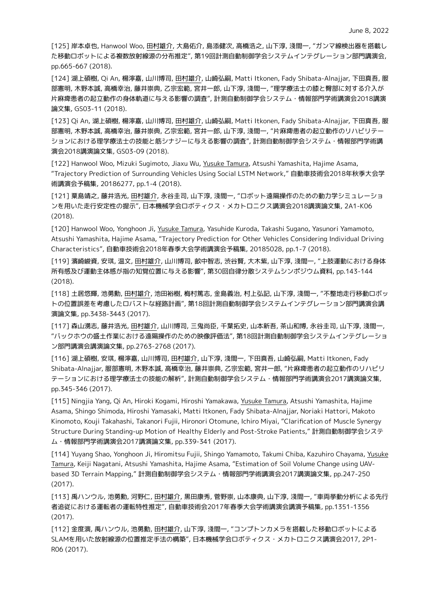[125] 岸本卓也, Hanwool Woo, 田村雄介, 大島佑介, 島添健次, 高橋浩之, 山下淳, 淺間一, "ガンマ線検出器を搭載し た移動ロボットによる複数放射線源の分布推定", 第19回計測自動制御学会システムインテグレーション部門講演会, pp.665-667 (2018).

[124] 湖上碩樹, Qi An, 楊濘嘉, 山川博司, 田村雄介, 山崎弘嗣, Matti Itkonen, Fady Shibata-Alnajjar, 下田真吾, 服 部憲明, 木野本誠, 高橋幸治, 藤井崇典, 乙宗宏範, 宮井一郎, 山下淳, 淺間一, "理学療法士の膝と臀部に対する介入が 片麻痺患者の起立動作の身体軌道に与える影響の調査", 計測自動制御学会システム・情報部門学術講演会2018講演 論文集, GS03-11 (2018).

[123] Qi An, 湖上碩樹, 楊濘嘉, 山川博司, 田村雄介, 山崎弘嗣, Matti Itkonen, Fady Shibata-Alnajjar, 下田真吾, 服 部憲明, 木野本誠, 高橋幸治, 藤井崇典, 乙宗宏範, 宮井一郎, 山下淳, 淺間一, "片麻痺患者の起立動作のリハビリテー ションにおける理学療法士の技能と筋シナジーに与える影響の調査", 計測自動制御学会システム・情報部門学術講 演会2018講演論文集, GS03-09 (2018).

[122] Hanwool Woo, Mizuki Sugimoto, Jiaxu Wu, Yusuke Tamura, Atsushi Yamashita, Hajime Asama, "Trajectory Prediction of Surrounding Vehicles Using Social LSTM Network," 自動車技術会2018年秋季大会学 術講演会予稿集, 20186277, pp.1-4 (2018).

[121] 粟島靖之, 藤井浩光, 田村雄介, 永谷圭司, 山下淳, 淺間一, "ロボット遠隔操作のための動力学シミュレーショ ンを用いた走行安定性の提示", 日本機械学会ロボティクス・メカトロニクス講演会2018講演論文集, 2A1-K06 (2018).

[120] Hanwool Woo, Yonghoon Ji, Yusuke Tamura, Yasuhide Kuroda, Takashi Sugano, Yasunori Yamamoto, Atsushi Yamashita, Hajime Asama, "Trajectory Prediction for Other Vehicles Considering Individual Driving Characteristics", 自動車技術会2018年春季大会学術講演会予稿集, 20185028, pp.1-7 (2018).

[119] 濱崎峻資, 安琪, 温文, 田村雄介, 山川博司, 畝中智志, 渋谷賢, 大木紫, 山下淳, 淺間一, "上肢運動における身体 所有感及び運動主体感が指の知覚位置に与える影響", 第30回自律分散システムシンポジウム資料, pp.143-144 (2018).

[118] 土居悠輝, 池勇勳, 田村雄介, 池田裕樹, 梅村篤志, 金島義治, 村上弘記, 山下淳, 淺間一, "不整地走行移動ロボッ トの位置誤差を考慮したロバストな経路計画", 第18回計測自動制御学会システムインテグレーション部門講演会講 演論文集, pp.3438-3443 (2017).

[117] 森山湧志, 藤井浩光, 田村雄介, 山川博司, 三鬼尚臣, 千葉拓史, 山本新吾, 茶山和博, 永谷圭司, 山下淳, 淺間一, "バックホウの盛土作業における遠隔操作のための映像評価法", 第18回計測自動制御学会システムインテグレーショ ン部門講演会講演論文集, pp.2763-2768 (2017).

[116] 湖上碩樹, 安琪, 楊濘嘉, 山川博司, 田村雄介, 山下淳, 淺間一, 下田真吾, 山崎弘嗣, Matti Itkonen, Fady Shibata-Alnajjar, 服部憲明, 木野本誠, 高橋幸治, 藤井崇典, 乙宗宏範, 宮井一郎, "片麻痺患者の起立動作のリハビリ テーションにおける理学療法士の技能の解析", 計測自動制御学会システム・情報部門学術講演会2017講演論文集, pp.345-346 (2017).

[115] Ningjia Yang, Qi An, Hiroki Kogami, Hiroshi Yamakawa, Yusuke Tamura, Atsushi Yamashita, Hajime Asama, Shingo Shimoda, Hiroshi Yamasaki, Matti Itkonen, Fady Shibata-Alnajjar, Noriaki Hattori, Makoto Kinomoto, Kouji Takahashi, Takanori Fujii, Hironori Otomune, Ichiro Miyai, "Clarification of Muscle Synergy Structure During Standing-up Motion of Healthy Elderly and Post-Stroke Patients," 計測自動制御学会システ ム・情報部門学術講演会2017講演論文集, pp.339-341 (2017).

[114] Yuyang Shao, Yonghoon Ji, Hiromitsu Fujii, Shingo Yamamoto, Takumi Chiba, Kazuhiro Chayama, Yusuke Tamura, Keiji Nagatani, Atsushi Yamashita, Hajime Asama, "Estimation of Soil Volume Change using UAVbased 3D Terrain Mapping," 計測自動制御学会システム・情報部門学術講演会2017講演論文集, pp.247-250 (2017).

[113] 禹ハンウル, 池勇勳, 河野仁, 田村雄介, 黒田康秀, 菅野崇, 山本康典, 山下淳, 淺間一, "車両挙動分析による先行 者追従における運転者の運転特性推定", 自動車技術会2017年春季大会学術講演会講演予稿集, pp.1351-1356 (2017).

[112] 金度演, 禹ハンウル, 池勇勳, 田村雄介, 山下淳, 淺間一, "コンプトンカメラを搭載した移動ロボットによる SLAMを用いた放射線源の位置推定手法の構築", 日本機械学会ロボティクス・メカトロニクス講演会2017, 2P1- R06 (2017).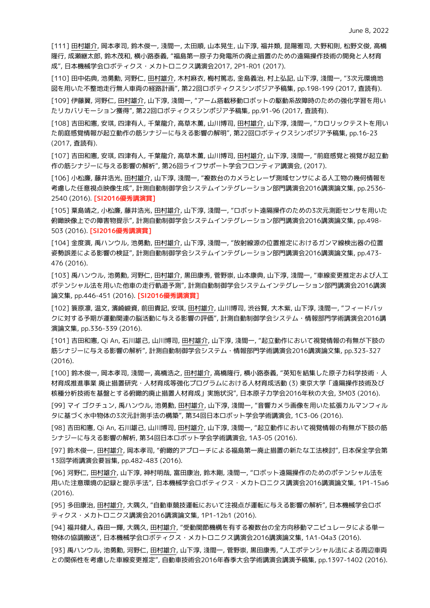[111] 田村雄介, 岡本孝司, 鈴木俊一, 淺間一, 太田順, 山本晃生, 山下淳, 福井類, 昆陽雅司, 大野和則, 松野文俊, 高橋 隆行, 成瀬継太郎, 鈴木茂和, 横小路泰義, "福島第一原子力発電所の廃止措置のための遠隔操作技術の開発と人材育 成", 日本機械学会ロボティクス・メカトロニクス講演会2017, 2P1-R01 (2017).

[110] 田中佑典, 池勇勳, 河野仁, 田村雄介, 木村麻衣, 梅村篤志, 金島義治, 村上弘記, 山下淳, 淺間一, "3次元環境地 図を用いた不整地走行無人車両の経路計画", 第22回ロボティクスシンポジア予稿集, pp.198-199 (2017, 査読有).

[109] 伊藤翼, 河野仁, 田村雄介, 山下淳, 淺間一, "アーム搭載移動ロボットの駆動系故障時のための強化学習を用い たリカバリモーション獲得", 第22回ロボティクスシンポジア予稿集, pp.91-96 (2017, 査読有).

[108] 吉田和憲, 安琪, 四津有人, 千葉龍介, 高草木薫, 山川博司, 田村雄介, 山下淳, 淺間一, "カロリックテストを用い た前庭感覚情報が起立動作の筋シナジーに与える影響の解明", 第22回ロボティクスシンポジア予稿集, pp.16-23 (2017, 査読有).

[107] 吉田和憲, 安琪, 四津有人, 千葉龍介, 高草木薫, 山川博司, 田村雄介, 山下淳, 淺間一, "前庭感覚と視覚が起立動 作の筋シナジーに与える影響の解析", 第26回ライフサポート学会フロンティア講演会, (2017).

[106] 小松廉, 藤井浩光, 田村雄介, 山下淳, 淺間一, "複数台のカメラとレーザ測域センサによる人工物の幾何情報を 考慮した任意視点映像生成", 計測自動制御学会システムインテグレーション部門講演会2016講演論文集, pp.2536- 2540 (2016). **[SI2016優秀講演賞]**

[105] 粟島靖之, 小松廉, 藤井浩光, 田村雄介, 山下淳, 淺間一, "ロボット遠隔操作のための3次元測距センサを用いた 俯瞰映像上での障害物提示", 計測自動制御学会システムインテグレーション部門講演会2016講演論文集, pp.498- 503 (2016). **[SI2016優秀講演賞]**

[104] 金度演, 禹ハンウル, 池勇勳, 田村雄介, 山下淳, 淺間一, "放射線源の位置推定におけるガンマ線検出器の位置 姿勢誤差による影響の検証", 計測自動制御学会システムインテグレーション部門講演会2016講演論文集, pp.473- 476 (2016).

[103] 禹ハンウル, 池勇勳, 河野仁, 田村雄介, 黒田康秀, 菅野崇, 山本康典, 山下淳, 淺間一, "車線変更推定および人工 ポテンシャル法を用いた他車の走行軌道予測", 計測自動制御学会システムインテグレーション部門講演会2016講演 論文集, pp.446-451 (2016). **[SI2016優秀講演賞]**

[102] 簑原凛, 温文, 濱崎峻資, 前田貴記, 安琪, 田村雄介, 山川博司, 渋谷賢, 大木紫, 山下淳, 淺間一, "フィードバッ クに対する予期が運動関連の脳活動に与える影響の評価", 計測自動制御学会システム・情報部門学術講演会2016講 演論文集, pp.336-339 (2016).

[101] 吉田和憲, Qi An, 石川雄己, 山川博司, 田村雄介, 山下淳, 淺間一, "起立動作において視覚情報の有無が下肢の 筋シナジーに与える影響の解析", 計測自動制御学会システム・情報部門学術講演会2016講演論文集, pp.323-327 (2016).

[100] 鈴木俊一, 岡本孝司, 淺間一, 高橋浩之, 田村雄介, 高橋隆行, 横小路泰義, "英知を結集した原子力科学技術・人 材育成推進事業 廃止措置研究・人材育成等強化プログラムにおける人材育成活動 (3) 東京大学「遠隔操作技術及び 核種分析技術を基盤とする俯瞰的廃止措置人材育成」実施状況", 日本原子力学会2016年秋の大会, 3M03 (2016).

[99] マイ ゴクチュン, 禹ハンウル, 池勇勳, 田村雄介, 山下淳, 淺間一, "音響カメラ画像を用いた拡張カルマンフィル タに基づく水中物体の3次元計測手法の構築", 第34回日本ロボット学会学術講演会, 1C3-06 (2016).

[98] 吉田和憲, Qi An, 石川雄己, 山川博司, 田村雄介, 山下淳, 淺間一, "起立動作において視覚情報の有無が下肢の筋 シナジーに与える影響の解析, 第34回日本ロボット学会学術講演会, 1A3-05 (2016).

[97] 鈴木俊一, 田村雄介, 岡本孝司, "俯瞰的アプローチによる福島第一廃止措置の新たな工法検討", 日本保全学会第 13回学術講演会要旨集, pp.482-483 (2016).

[96] 河野仁, 田村雄介, 山下淳, 神村明哉, 富田康治, 鈴木剛, 淺間一, "ロボット遠隔操作のためのポテンシャル法を 用いた注意環境の記録と提示手法", 日本機械学会ロボティクス・メカトロニクス講演会2016講演論文集, 1P1-15a6 (2016).

[95] 多田康治, 田村雄介, 大隅久, "自動車競技運転において注視点が運転に与える影響の解析", 日本機械学会ロボ ティクス・メカトロニクス講演会2016講演論文集, 1P1-12b1 (2016).

[94] 福井健人, 森田一輝, 大隅久, 田村雄介, "受動関節機構を有する複数台の全方向移動マニピュレータによる単一 物体の協調搬送", 日本機械学会ロボティクス・メカトロニクス講演会2016講演論文集, 1A1-04a3 (2016).

[93] 禹ハンウル, 池勇勳, 河野仁, 田村雄介, 山下淳, 淺間一, 菅野崇, 黒田康秀, "人工ポテンシャル法による周辺車両 との関係性を考慮した車線変更推定", 自動車技術会2016年春季大会学術講演会講演予稿集, pp.1397-1402 (2016).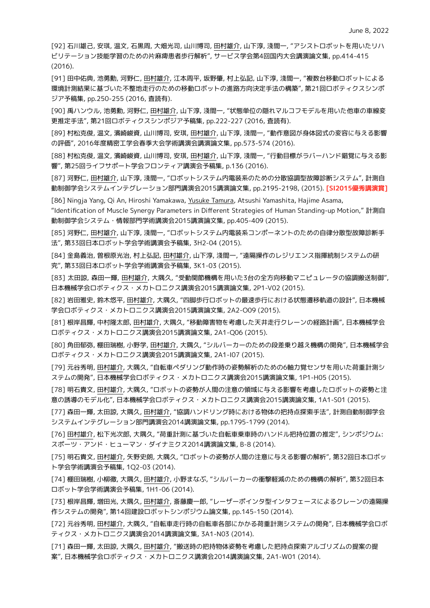[92] 石川雄己, 安琪, 温文, 石黒周, 大畑光司, 山川博司, 田村雄介, 山下淳, 淺間一, "アシストロボットを用いたリハ ビリテーション技能学習のための片麻痺患者歩行解析", サービス学会第4回国内大会講演論文集, pp.414-415 (2016).

[91] 田中佑典, 池勇勳, 河野仁, 田村雄介, 江本周平, 坂野肇, 村上弘記, 山下淳, 淺間一, "複数台移動ロボットによる 環境計測結果に基づいた不整地走行のための移動ロボットの進路方向決定手法の構築", 第21回ロボティクスシンポ ジア予稿集, pp.250-255 (2016, 査読有).

[90] 禹ハンウル, 池勇勳, 河野仁, 田村雄介, 山下淳, 淺間一, "状態単位の隠れマルコフモデルを用いた他車の車線変 更推定手法", 第21回ロボティクスシンポジア予稿集, pp.222-227 (2016, 査読有).

[89] 村松克俊, 温文, 濱崎峻資, 山川博司, 安琪, 田村雄介, 山下淳, 淺間一, "動作意図が身体図式の変容に与える影響 の評価", 2016年度精密工学会春季大会学術講演会講演論文集, pp.573-574 (2016).

[88] 村松克俊, 温文, 濱崎峻資, 山川博司, 安琪, 田村雄介, 山下淳, 淺間一, "行動目標がラバーハンド錯覚に与える影 響", 第25回ライフサポート学会フロンティア講演会予稿集, p.136 (2016).

[87] 河野仁, 田村雄介, 山下淳, 淺間一, "ロボットシステム内電装系のための分散協調型故障診断システム", 計測自 動制御学会システムインテグレーション部門講演会2015講演論文集, pp.2195-2198, (2015). **[SI2015優秀講演賞]**

[86] Ningja Yang, Qi An, Hiroshi Yamakawa, Yusuke Tamura, Atsushi Yamashita, Hajime Asama,

"Identification of Muscle Synergy Parameters in Different Strategies of Human Standing-up Motion," 計測自 動制御学会システム・情報部門学術講演会2015講演論文集, pp.405-409 (2015).

[85] 河野仁, 田村雄介, 山下淳, 淺間一, "ロボットシステム内電装系コンポーネントのための自律分散型故障診断手 法", 第33回日本ロボット学会学術講演会予稿集, 3H2-04 (2015).

[84] 金島義治, 曽根原光治, 村上弘記, 田村雄介, 山下淳, 淺間一, "遠隔操作のレジリエンス指揮統制システムの研 究", 第33回日本ロボット学会学術講演会予稿集, 3K1-03 (2015).

[83] 太田諒, 森田一輝, 田村雄介, 大隅久, "受動関節機構を用いた3台の全方向移動マニピュレータの協調搬送制御", 日本機械学会ロボティクス・メカトロニクス講演会2015講演論文集, 2P1-V02 (2015).

[82] 岩田雅史, 鈴木悠平, 田村雄介, 大隅久, "四脚歩行ロボットの最速歩行における状態遷移軌道の設計", 日本機械 学会ロボティクス・メカトロニクス講演会2015講演論文集, 2A2-O09 (2015).

[81] 根岸昌輝, 中村隆太郎, 田村雄介, 大隅久, "移動障害物を考慮した天井走行クレーンの経路計画", 日本機械学会 ロボティクス・メカトロニクス講演会2015講演論文集, 2A1-Q06 (2015).

[80] 角田郁弥, 棚田瑞樹, 小野学, 田村雄介, 大隅久, "シルバーカーのための段差乗り越え機構の開発", 日本機械学会 ロボティクス・メカトロニクス講演会2015講演論文集, 2A1-I07 (2015).

[79] 元谷秀明, 田村雄介, 大隅久, "自転車ペダリング動作時の姿勢解析のための6軸力覚センサを用いた荷重計測シ ステムの開発", 日本機械学会ロボティクス・メカトロニクス講演会2015講演論文集, 1P1-H05 (2015).

[78] 明石貴文, 田村雄介, 大隅久, "ロボットの姿勢が人間の注意の領域に与える影響を考慮したロボットの姿勢と注 意の誘導のモデル化", 日本機械学会ロボティクス・メカトロニクス講演会2015講演論文集, 1A1-S01 (2015).

[77] 森田一輝, 太田諒, 大隅久, 田村雄介, "協調ハンドリング時における物体の把持点探索手法", 計測自動制御学会 システムインテグレーション部門講演会2014講演論文集, pp.1795-1799 (2014).

[76] 田村雄介, 松下光次郎, 大隅久, "荷重計測に基づいた自転車乗車時のハンドル把持位置の推定", シンポジウム: スポーツ・アンド・ヒューマン・ダイナミクス2014講演論文集, B-8 (2014).

[75] 明石貴文, 田村雄介, 矢野史朗, 大隅久, "ロボットの姿勢が人間の注意に与える影響の解析", 第32回日本ロボッ ト学会学術講演会予稿集, 1Q2-03 (2014).

[74] 棚田瑞樹, 小柳徹, 大隅久, 田村雄介, 小野まなぶ, "シルバーカーの衝撃軽減のための機構の解析", 第32回日本 ロボット学会学術講演会予稿集, 1H1-06 (2014).

[73] 根岸昌輝, 増田光, 大隅久, 田村雄介, 斎藤慶一郎, "レーザーポインタ型インタフェースによるクレーンの遠隔操 作システムの開発", 第14回建設ロボットシンポジウム論文集, pp.145-150 (2014).

[72] 元谷秀明, 田村雄介, 大隅久, "自転車走行時の自転車各部にかかる荷重計測システムの開発", 日本機械学会ロボ ティクス・メカトロニクス講演会2014講演論文集, 3A1-N03 (2014).

[71] 森田一輝, 太田諒, 大隅久, 田村雄介, "搬送時の把持物体姿勢を考慮した把持点探索アルゴリズムの提案の提 案", 日本機械学会ロボティクス・メカトロニクス講演会2014講演論文集, 2A1-W01 (2014).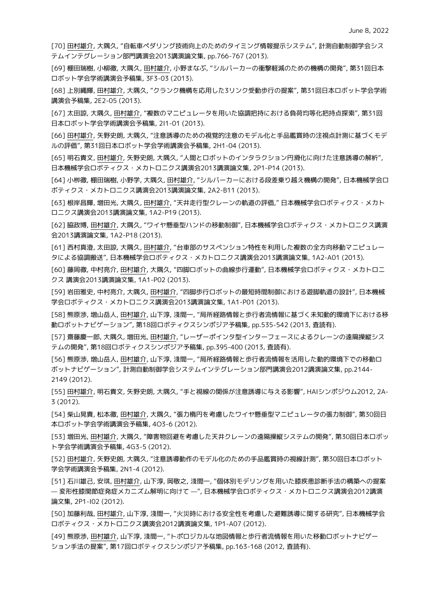[70] 田村雄介, 大隅久, "自転車ペダリング技術向上のためのタイミング情報提示システム", 計測自動制御学会シス テムインテグレーション部門講演会2013講演論文集, pp.766-767 (2013).

[69] 棚田瑞樹, 小柳徹, 大隅久, 田村雄介, 小野まなぶ, "シルバーカーの衝撃軽減のための機構の開発", 第31回日本 ロボット学会学術講演会予稿集, 3F3-03 (2013).

[68] 上別縄輝, 田村雄介, 大隅久, "クランク機構を応用した3リンク受動歩行の提案", 第31回日本ロボット学会学術 講演会予稿集, 2E2-05 (2013).

[67] 太田諒, 大隅久, 田村雄介, "複数のマニピュレータを用いた協調把持における負荷均等化把持点探索", 第31回 日本ロボット学会学術講演会予稿集, 2I1-01 (2013).

[66] 田村雄介, 矢野史朗, 大隅久, "注意誘導のための視覚的注意のモデル化と手品鑑賞時の注視点計測に基づくモデ ルの評価", 第31回日本ロボット学会学術講演会予稿集, 2H1-04 (2013).

[65] 明石貴文, 田村雄介, 矢野史朗, 大隅久, "人間とロボットのインタラクション円滑化に向けた注意誘導の解析", 日本機械学会ロボティクス・メカトロニクス講演会2013講演論文集, 2P1-P14 (2013).

[64] 小栁徹, 棚田瑞樹, 小野学, 大隅久, 田村雄介, "シルバーカーにおける段差乗り越え機構の開発", 日本機械学会ロ ボティクス・メカトロニクス講演会2013講演論文集, 2A2-B11 (2013).

[63] 根岸昌輝, 増田光, 大隅久, 田村雄介, "天井走行型クレーンの軌道の評価," 日本機械学会ロボティクス・メカト ロニクス講演会2013講演論文集, 1A2-P19 (2013).

[62] 脇政博, 田村雄介, 大隅久, "ワイヤ懸垂型ハンドの移動制御", 日本機械学会ロボティクス・メカトロニクス講演 会2013講演論文集, 1A2-P18 (2013).

[61] 西村真澄, 太田諒, 大隅久, 田村雄介, "台車部のサスペンション特性を利用した複数の全方向移動マニピュレー タによる協調搬送", 日本機械学会ロボティクス・メカトロニクス講演会2013講演論文集, 1A2-A01 (2013).

[60] 藤岡徹, 中村亮介, 田村雄介, 大隅久, "四脚ロボットの曲線歩行運動", 日本機械学会ロボティクス・メカトロニ クス 講演会2013講演論文集, 1A1-P02 (2013).

[59] 岩田雅史, 中村亮介, 大隅久, 田村雄介, "四脚歩行ロボットの最短時間制御における遊脚軌道の設計", 日本機械 学会ロボティクス・メカトロニクス講演会2013講演論文集, 1A1-P01 (2013).

[58] 熊原渉, 増山岳人, 田村雄介, 山下淳, 淺間一, "局所経路情報と歩行者流情報に基づく未知動的環境下における移 動ロボットナビゲーション", 第18回ロボティクスシンポジア予稿集, pp.535-542 (2013, 査読有).

[57] 齋藤慶一郎, 大隅久, 増田光, 田村雄介, "レーザーポインタ型インターフェースによるクレーンの遠隔操縦シス テムの開発", 第18回ロボティクスシンポジア予稿集, pp.395-400 (2013, 査読有).

[56] 熊原渉, 増山岳人, 田村雄介, 山下淳, 淺間一, "局所経路情報と歩行者流情報を活用した動的環境下での移動ロ ボットナビゲーション", 計測自動制御学会システムインテグレーション部門講演会2012講演論文集, pp.2144- 2149 (2012).

[55] 田村雄介, 明石貴文, 矢野史朗, 大隅久, "手と視線の関係が注意誘導に与える影響", HAIシンポジウム2012, 2A-3 (2012).

[54] 柴山晃貴, 松本徹, 田村雄介, 大隅久, "張力楕円を考慮したワイヤ懸垂型マニピュレータの張力制御", 第30回日 本ロボット学会学術講演会予稿集, 4O3-6 (2012).

[53] 増田光, 田村雄介, 大隅久, "障害物回避を考慮した天井クレーンの遠隔操縦システムの開発", 第30回日本ロボッ ト学会学術講演会予稿集, 4G3-5 (2012).

[52] 田村雄介, 矢野史朗, 大隅久, "注意誘導動作のモデル化のための手品鑑賞時の視線計測", 第30回日本ロボット 学会学術講演会予稿集, 2N1-4 (2012).

[51] 石川雄己, 安琪, 田村雄介, 山下淳, 岡敬之, 淺間一, "個体別モデリングを用いた膝疾患診断手法の構築への提案 — 変形性膝関節症発症メカニズム解明に向けて —", 日本機械学会ロボティクス・メカトロニクス講演会2012講演 論文集, 2P1-I02 (2012).

[50] 加藤利哉, 田村雄介, 山下淳, 淺間一, "火災時における安全性を考慮した避難誘導に関する研究", 日本機械学会 ロボティクス・メカトロニクス講演会2012講演論文集, 1P1-A07 (2012).

[49] 熊原渉, 田村雄介, 山下淳, 淺間一, "トポロジカルな地図情報と歩行者流情報を用いた移動ロボットナビゲー ション手法の提案", 第17回ロボティクスシンポジア予稿集, pp.163-168 (2012, 査読有).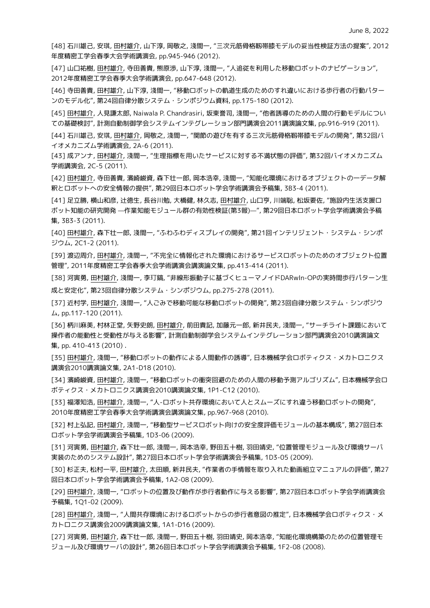[48] 石川雄己, 安琪, 田村雄介, 山下淳, 岡敬之, 淺間一, "三次元筋骨格靱帯膝モデルの妥当性検証方法の提案", 2012 年度精密工学会春季大会学術講演会, pp.945-946 (2012).

[47] 山口祐樹, 田村雄介, 寺田善貴, 熊原渉, 山下淳, 淺間一, "人追従を利用した移動ロボットのナビゲーション", 2012年度精密工学会春季大会学術講演会, pp.647-648 (2012).

[46] 寺田善貴, 田村雄介, 山下淳, 淺間一, "移動ロボットの軌道生成のためのすれ違いにおける歩行者の行動パター ンのモデル化", 第24回自律分散システム・シンポジウム資料, pp.175-180 (2012).

[45] 田村雄介, 人見謙太郎, Naiwala P. Chandrasiri, 坂東誉司, 淺間一, "他者誘導のための人間の行動モデルについ ての基礎検討", 計測自動制御学会システムインテグレーション部門講演会2011講演論文集, pp.916-919 (2011).

[44] 石川雄己, 安琪, 田村雄介, 岡敬之, 淺間一, "関節の遊びを有する三次元筋骨格靱帯膝モデルの開発", 第32回バ イオメカニズム学術講演会, 2A-6 (2011).

[43] 成アンナ, 田村雄介, 淺間一, "生理指標を用いたサービスに対する不満状態の評価", 第32回バイオメカニズム 学術講演会, 2C-5 (2011).

[42] 田村雄介, 寺田善貴, 濱崎峻資, 森下壮一郎, 岡本浩幸, 淺間一, "知能化環境におけるオブジェクトの一データ解 釈とロボットへの安全情報の提供", 第29回日本ロボット学会学術講演会予稿集, 3B3-4 (2011).

[41] 足立勝, 横山和彦, 辻徳生, 長谷川勉, 大橋健, 林久志, 田村雄介, 山口亨, 川端聡, 松坂要佐, "施設内生活支援ロ ボット知能の研究開発 —作業知能モジュール群の有効性検証(第3報)—", 第29回日本ロボット学会学術講演会予稿 集, 3B3-3 (2011).

[40] 田村雄介, 森下壮一郎, 淺間一, "ふわふわディスプレイの開発", 第21回インテリジェント・システム・シンポ ジウム, 2C1-2 (2011).

[39] 渡辺周介, 田村雄介, 淺間一, "不完全に情報化された環境におけるサービスロボットのためのオブジェクト位置 管理", 2011年度精密工学会春季大会学術講演会講演論文集, pp.413-414 (2011).

[38] 河寅勇, 田村雄介, 淺間一, 李玎鎬, "非線形振動子に基づくヒューマノイドDARwIn-OPの実時間歩行パターン生 成と安定化", 第23回自律分散システム・シンポジウム, pp.275-278 (2011).

[37] 近村学, 田村雄介, 淺間一, "人ごみで移動可能な移動ロボットの開発", 第23回自律分散システム・シンポジウ  $\mu$ , pp.117-120 (2011).

[36] 柄川麻美, 村林正堂, 矢野史朗, 田村雄介, 前田貴記, 加藤元一郎, 新井民夫, 淺間一, "サーチライト課題において 操作者の能動性と受動性が与える影響", 計測自動制御学会システムインテグレーション部門講演会2010講演論文 集, pp. 410-413 (2010) .

[35] 田村雄介, 淺間一, "移動ロボットの動作による人間動作の誘導", 日本機械学会ロボティクス・メカトロニクス 講演会2010講演論文集, 2A1-D18 (2010).

[34] 濱崎峻資, 田村雄介, 淺間一, "移動ロボットの衝突回避のための人間の移動予測アルゴリズム", 日本機械学会ロ ボティクス・メカトロニクス講演会2010講演論文集, 1P1-C12 (2010).

[33] 福澤知浩, 田村雄介, 淺間一, "人-ロボット共存環境において人とスムーズにすれ違う移動ロボットの開発", 2010年度精密工学会春季大会学術講演会講演論文集, pp.967-968 (2010).

[32] 村上弘記, 田村雄介, 淺間一, "移動型サービスロボット向けの安全度評価モジュールの基本構成", 第27回日本 ロボット学会学術講演会予稿集, 1D3-06 (2009).

[31] 河寅勇, 田村雄介, 森下壮一郎, 淺間一, 岡本浩幸, 野田五十樹, 羽田靖史, "位置管理モジュール及び環境サーバ 実装のためのシステム設計", 第27回日本ロボット学会学術講演会予稿集, 1D3-05 (2009).

[30] 杉正夫, 松村一平, 田村雄介, 太田順, 新井民夫, "作業者の手情報を取り入れた動画組立マニュアルの評価", 第27 回日本ロボット学会学術講演会予稿集, 1A2-08 (2009).

[29] 田村雄介, 淺間一, "ロボットの位置及び動作が歩行者動作に与える影響", 第27回日本ロボット学会学術講演会 予稿集, 1Q1-02 (2009).

[28] 田村雄介, 淺間一, "人間共存環境におけるロボットからの歩行者意図の推定", 日本機械学会ロボティクス・メ カトロニクス講演会2009講演論文集, 1A1-D16 (2009).

[27] 河寅勇, 田村雄介, 森下壮一郎, 淺間一, 野田五十樹, 羽田靖史, 岡本浩幸, "知能化環境構築のための位置管理モ ジュール及び環境サーバの設計", 第26回日本ロボット学会学術講演会予稿集, 1F2-08 (2008).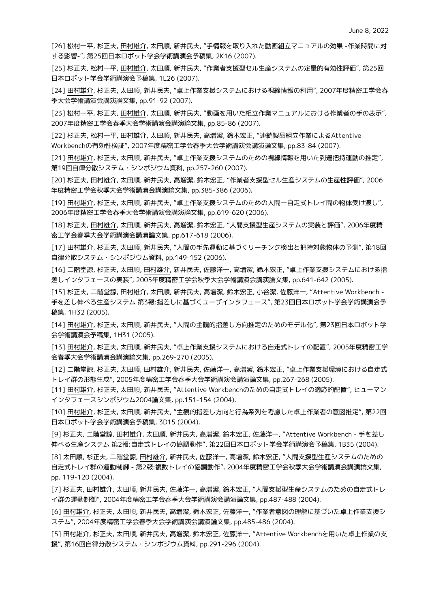[26] 松村一平, 杉正夫, 田村雄介, 太田順, 新井民夫, "手情報を取り入れた動画組立マニュアルの効果 -作業時間に対 する影響-", 第25回日本ロボット学会学術講演会予稿集, 2K16 (2007).

[25] 杉正夫, 松村一平, 田村雄介, 太田順, 新井民夫, "作業者支援型セル生産システムの定量的有効性評価", 第25回 日本ロボット学会学術講演会予稿集, 1L26 (2007).

[24] 田村雄介, 杉正夫, 太田順, 新井民夫, "卓上作業支援システムにおける視線情報の利用", 2007年度精密工学会春 季大会学術講演会講演論文集, pp.91-92 (2007).

[23] 松村一平, 杉正夫, 田村雄介, 太田順, 新井民夫, "動画を用いた組立作業マニュアルにおける作業者の手の表示", 2007年度精密工学会春季大会学術講演会講演論文集, pp.85-86 (2007).

[22] 杉正夫, 松村一平, 田村雄介, 太田順, 新井民夫, 高増潔, 鈴木宏正, "連続製品組立作業によるAttentive Workbenchの有効性検証", 2007年度精密工学会春季大会学術講演会講演論文集, pp.83-84 (2007).

[21] 田村雄介, 杉正夫, 太田順, 新井民夫, "卓上作業支援システムのための視線情報を用いた到達把持運動の推定", 第19回自律分散システム・シンポジウム資料, pp.257-260 (2007).

[20] 杉正夫, 田村雄介, 太田順, 新井民夫, 高増潔, 鈴木宏正, "作業者支援型セル生産システムの生産性評価", 2006 年度精密工学会秋季大会学術講演会講演論文集, pp.385-386 (2006).

[19] 田村雄介, 杉正夫, 太田順, 新井民夫, "卓上作業支援システムのための人間ー自走式トレイ間の物体受け渡し", 2006年度精密工学会春季大会学術講演会講演論文集, pp.619-620 (2006).

[18] 杉正夫, 田村雄介, 太田順, 新井民夫, 高増潔, 鈴木宏正, "人間支援型生産システムの実装と評価", 2006年度精 密工学会春季大会学術講演会講演論文集, pp.617-618 (2006).

[17] 田村雄介, 杉正夫, 太田順, 新井民夫, "人間の手先運動に基づくリーチング検出と把持対象物体の予測", 第18回 自律分散システム・シンポジウム資料, pp.149-152 (2006).

[16] 二階堂諒, 杉正夫, 太田順, 田村雄介, 新井民夫, 佐藤洋一, 高増潔, 鈴木宏正, "卓上作業支援システムにおける指 差しインタフェースの実装", 2005年度精密工学会秋季大会学術講演会講演論文集, pp.641-642 (2005).

[15] 杉正夫, 二階堂諒, 田村雄介, 太田順, 新井民夫, 高増潔, 鈴木宏正, 小谷潔, 佐藤洋一, "Attentive Workbench - 手を差し伸べる生産システム 第3報:指差しに基づくユーザインタフェース", 第23回日本ロボット学会学術講演会予 稿集, 1H32 (2005).

[14] 田村雄介, 杉正夫, 太田順, 新井民夫, "人間の主観的指差し方向推定のためのモデル化", 第23回日本ロボット学 会学術講演会予稿集, 1H31 (2005).

[13] 田村雄介, 杉正夫, 太田順, 新井民夫, "卓上作業支援システムにおける自走式トレイの配置", 2005年度精密工学 会春季大会学術講演会講演論文集, pp.269-270 (2005).

[12] 二階堂諒, 杉正夫, 太田順, 田村雄介, 新井民夫, 佐藤洋一, 高増潔, 鈴木宏正, "卓上作業支援環境における自走式 トレイ群の形態生成", 2005年度精密工学会春季大会学術講演会講演論文集, pp.267-268 (2005).

[11] 田村雄介, 杉正夫, 太田順, 新井民夫, "Attentive Workbenchのための自走式トレイの適応的配置", ヒューマン インタフェースシンポジウム2004論文集, pp.151-154 (2004).

[10] 田村雄介, 杉正夫, 太田順, 新井民夫, "主観的指差し方向と行為系列を考慮した卓上作業者の意図推定", 第22回 日本ロボット学会学術講演会予稿集, 3D15 (2004).

[9] 杉正夫, 二階堂諒, 田村雄介, 太田順, 新井民夫, 高増潔, 鈴木宏正, 佐藤洋一, "Attentive Workbench - 手を差し 伸べる生産システム 第2報:自走式トレイの協調動作", 第22回日本ロボット学会学術講演会予稿集, 1B35 (2004).

[8] 太田順, 杉正夫, 二階堂諒, 田村雄介, 新井民夫, 佐藤洋一, 高増潔, 鈴木宏正, "人間支援型生産システムのための 自走式トレイ群の運動制御 - 第2報:複数トレイの協調動作", 2004年度精密工学会秋季大会学術講演会講演論文集, pp. 119-120 (2004).

[7] 杉正夫, 田村雄介, 太田順, 新井民夫, 佐藤洋一, 高増潔, 鈴木宏正, "人間支援型生産システムのための自走式トレ イ群の運動制御", 2004年度精密工学会春季大会学術講演会講演論文集, pp.487-488 (2004).

[6] 田村雄介, 杉正夫, 太田順, 新井民夫, 高増潔, 鈴木宏正, 佐藤洋一, "作業者意図の理解に基づいた卓上作業支援シ ステム", 2004年度精密工学会春季大会学術講演会講演論文集, pp.485-486 (2004).

[5] 田村雄介, 杉正夫, 太田順, 新井民夫, 高増潔, 鈴木宏正, 佐藤洋一, "Attentive Workbenchを用いた卓上作業の支 援", 第16回自律分散システム・シンポジウム資料, pp.291-296 (2004).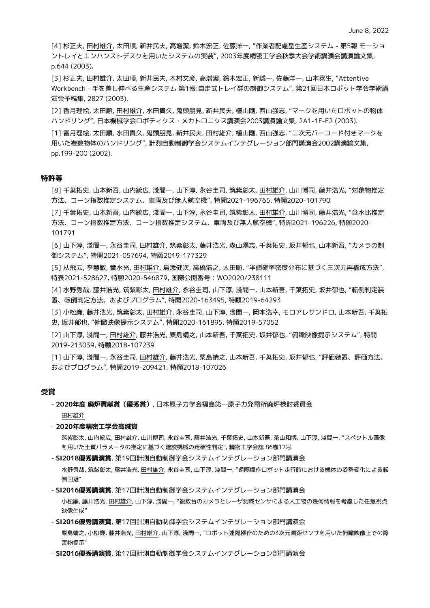[4] 杉正夫, 田村雄介, 太田順, 新井民夫, 高増潔, 鈴木宏正, 佐藤洋一, "作業者配慮型生産システム - 第5報 モーショ ントレイとエンハンストデスクを用いたシステムの実装", 2003年度精密工学会秋季大会学術講演会講演論文集, p.644 (2003).

[3] 杉正夫, 田村雄介, 太田順, 新井民夫, 木村文彦, 高増潔, 鈴木宏正, 新誠一, 佐藤洋一, 山本晃生, "Attentive Workbench - 手を差し伸べる生産システム 第1報:自走式トレイ群の制御システム", 第21回日本ロボット学会学術講 演会予稿集, 2B27 (2003).

[2] 香月理絵, 太田順, 田村雄介, 水田貴久, 鬼頭朋見, 新井民夫, 植山剛, 西山強志, "マークを用いたロボットの物体 ハンドリング", 日本機械学会ロボティクス・メカトロニクス講演会2003講演論文集, 2A1-1F-E2 (2003).

[1] 香月理絵, 太田順, 水田貴久, 鬼頭朋見, 新井民夫, 田村雄介, 植山剛, 西山強志, "二次元バーコード付きマークを 用いた複数物体のハンドリング", 計測自動制御学会システムインテグレーション部門講演会2002講演論文集, pp.199-200 (2002).

#### **特許等**

[8] 千葉拓史, 山本新吾, 山内統広, 淺間一, 山下淳, 永谷圭司, 筑紫彰太, 田村雄介, 山川博司, 藤井浩光, "対象物推定 方法、コーン指数推定システム、車両及び無人航空機", 特開2021-196765, 特願2020-101790

[7] 千葉拓史, 山本新吾, 山内統広, 淺間一, 山下淳, 永谷圭司, 筑紫彰太, 田村雄介, 山川博司, 藤井浩光, "含水比推定 方法、コーン指数推定方法、コーン指数推定システム、車両及び無人航空機", 特開2021-196226, 特願2020- 101791

[6] 山下淳, 淺間一, 永谷圭司, 田村雄介, 筑紫彰太, 藤井浩光, 森山湧志, 千葉拓史, 坂井郁也, 山本新吾, "カメラの制 御システム", 特開2021-057694, 特願2019-177329

[5] 从飛云, 李慧敏, 童水光, 田村雄介, 島添健次, 高橋浩之, 太田順, "半値確率密度分布に基づく三次元再構成方法", 特表2021-528627, 特願2020-546879, 国際公開番号:WO2020/238111

[4] 水野秀哉, 藤井浩光, 筑紫彰太, 田村雄介, 永谷圭司, 山下淳, 淺間一, 山本新吾, 千葉拓史, 坂井郁也, "転倒判定装 置、転倒判定方法、およびプログラム", 特開2020-163495, 特願2019-64293

[3] 小松廉, 藤井浩光, 筑紫彰太, 田村雄介, 永谷圭司, 山下淳, 淺間一, 岡本浩幸, モロアレサンドロ, 山本新吾, 千葉拓 史, 坂井郁也, "俯瞰映像提示システム", 特開2020-161895, 特願2019-57052

[2] 山下淳, 淺間一, 田村雄介, 藤井浩光, 粟島靖之, 山本新吾, 千葉拓史, 坂井郁也, "俯瞰映像提示システム", 特開 2019-213039, 特願2018-107239

[1] 山下淳, 淺間一, 永谷圭司, 田村雄介, 藤井浩光, 粟島靖之, 山本新吾, 千葉拓史, 坂井郁也, "評価装置、評価方法、 およびプログラム", 特開2019-209421, 特願2018-107026

## **受賞**

- **2020年度 廃炉貢献賞(優秀賞)**, 日本原子力学会福島第一原子力発電所廃炉検討委員会

田村雄介

#### - **2020年度精密工学会髙城賞**

筑紫彰太, 山内統広, 田村雄介, 山川博司, 永谷圭司, 藤井浩光, 千葉拓史, 山本新吾, 茶山和博, 山下淳, 淺間一, "スペクトル画像 を用いた土質パラメータの推定に基づく建設機械の走破性判定", 精密工学会誌 86巻12号

- **SI2018優秀講演賞**, 第19回計測自動制御学会システムインテグレーション部門講演会

水野秀哉, 筑紫彰太, 藤井浩光, 田村雄介, 永谷圭司, 山下淳, 淺間一, "遠隔操作ロボット走行時における機体の姿勢変化による転 倒回避"

- **SI2016優秀講演賞**, 第17回計測自動制御学会システムインテグレーション部門講演会

小松廉, 藤井浩光, 田村雄介, 山下淳, 淺間一, "複数台のカメラとレーザ測域センサによる人工物の幾何情報を考慮した任意視点 映像生成"

#### - **SI2016優秀講演賞**, 第17回計測自動制御学会システムインテグレーション部門講演会

粟島靖之, 小松廉, 藤井浩光, 田村雄介, 山下淳, 淺間一, "ロボット遠隔操作のための3次元測距センサを用いた俯瞰映像上での障 害物提示"

- **SI2016優秀講演賞**, 第17回計測自動制御学会システムインテグレーション部門講演会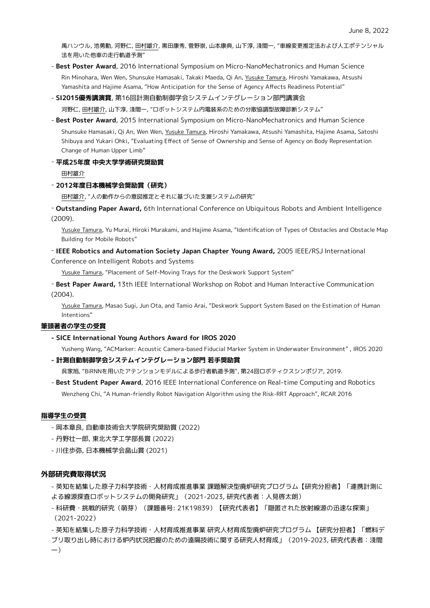禹ハンウル, 池勇勳, 河野仁, 田村雄介, 黒田康秀, 菅野崇, 山本康典, 山下淳, 淺間一, "車線変更推定法および人工ポテンシャル 法を用いた他車の走行軌道予測"

- **Best Poster Award**, 2016 International Symposium on Micro-NanoMechatronics and Human Science Rin Minohara, Wen Wen, Shunsuke Hamasaki, Takaki Maeda, Qi An, Yusuke Tamura, Hiroshi Yamakawa, Atsushi Yamashita and Hajime Asama, "How Anticipation for the Sense of Agency Affects Readiness Potential"
- **SI2015優秀講演賞**, 第16回計測自動制御学会システムインテグレーション部門講演会

河野仁, 田村雄介, 山下淳, 淺間一, "ロボットシステム内電装系のための分散協調型故障診断システム"

- **Best Poster Award**, 2015 International Symposium on Micro-NanoMechatronics and Human Science Shunsuke Hamasaki, Qi An, Wen Wen, Yusuke Tamura, Hiroshi Yamakawa, Atsushi Yamashita, Hajime Asama, Satoshi Shibuya and Yukari Ohki, "Evaluating Effect of Sense of Ownership and Sense of Agency on Body Representation Change of Human Upper Limb"

- **平成25年度 中央大学学術研究奨励賞** 

田村雄介

#### - **2012年度日本機械学会奨励賞(研究)**

田村雄介, "人の動作からの意図推定とそれに基づいた支援システムの研究"

- **Outstanding Paper Award,** 6th International Conference on Ubiquitous Robots and Ambient Intelligence (2009).

Yusuke Tamura, Yu Murai, Hiroki Murakami, and Hajime Asama, "Identification of Types of Obstacles and Obstacle Map Building for Mobile Robots"

## - **IEEE Robotics and Automation Society Japan Chapter Young Award,** 2005 IEEE/RSJ International Conference on Intelligent Robots and Systems

Yusuke Tamura, "Placement of Self-Moving Trays for the Deskwork Support System"

- **Best Paper Award,** 13th IEEE International Workshop on Robot and Human Interactive Communication (2004).

Yusuke Tamura, Masao Sugi, Jun Ota, and Tamio Arai, "Deskwork Support System Based on the Estimation of Human Intentions"

#### **筆頭著者の学生の受賞**

#### **- SICE International Young Authors Award for IROS 2020**

Yusheng Wang, "ACMarker: Acoustic Camera-based Fiducial Marker System in Underwater Environment" , IROS 2020

#### **- 計測自動制御学会システムインテグレーション部門 若手奨励賞**

呉家旭, "BiRNNを用いたアテンションモデルによる歩行者軌道予測", 第24回ロボティクスシンポジア, 2019.

- **Best Student Paper Award**, 2016 IEEE International Conference on Real-time Computing and Robotics Wenzheng Chi, "A Human-friendly Robot Navigation Algorithm using the Risk-RRT Approach", RCAR 2016

#### **指導学生の受賞**

- 岡本章良, 自動車技術会大学院研究奨励賞 (2022)
- 丹野壮一郎, 東北大学工学部長賞 (2022)
- 川住歩弥, 日本機械学会畠山賞 (2021)

## **外部研究費取得状況**

- 英知を結集した原子力科学技術・人材育成推進事業 課題解決型廃炉研究プログラム【研究分担者】「連携計測に よる線源探査ロボットシステムの開発研究」(2021-2023, 研究代表者:人見啓太朗)

- 科研費・挑戦的研究(萌芽)(課題番号: 21K19839)【研究代表者】「隠匿された放射線源の迅速な探索」 (2021-2022)

- 英知を結集した原子力科学技術・人材育成推進事業 研究人材育成型廃炉研究プログラム 【研究分担者】「燃料デ ブリ取り出し時における炉内状況把握のための遠隔技術に関する研究人材育成」(2019-2023, 研究代表者:淺間 一)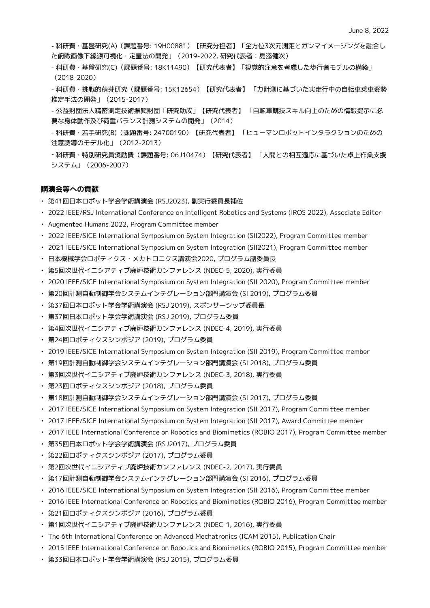- 科研費・基盤研究(A)(課題番号: 19H00881)【研究分担者】「全方位3次元測距とガンマイメージングを融合し た俯瞰画像下線源可視化・定量法の開発」(2019-2022, 研究代表者:島添健次)

- 科研費・基盤研究(C)(課題番号: 18K11490)【研究代表者】「視覚的注意を考慮した歩行者モデルの構築」 (2018-2020)
- 科研費・挑戦的萌芽研究(課題番号: 15K12654)【研究代表者】 「力計測に基づいた実走行中の自転車乗車姿勢 推定手法の開発」(2015-2017)
- 公益財団法人精密測定技術振興財団「研究助成」【研究代表者】 「自転車競技スキル向上のための情報提示に必 要な身体動作及び荷重バランス計測システムの開発」(2014)
- 科研費・若手研究(B)(課題番号: 24700190)【研究代表者】 「ヒューマンロボットインタラクションのための 注意誘導のモデル化」(2012-2013)
- 科研費・特別研究員奨励費(課題番号: 06J10474)【研究代表者】 「人間との相互適応に基づいた卓上作業支援 システム」(2006-2007)

## **講演会等への貢献**

- 第41回日本ロボット学会学術講演会 (RSJ2023), 副実行委員長補佐
- 2022 IEEE/RSJ International Conference on Intelligent Robotics and Systems (IROS 2022), Associate Editor
- Augmented Humans 2022, Program Committee member
- 2022 IEEE/SICE International Symposium on System Integration (SII2022), Program Committee member
- 2021 IEEE/SICE International Symposium on System Integration (SII2021), Program Committee member
- 日本機械学会ロボティクス・メカトロニクス講演会2020, プログラム副委員長
- 第5回次世代イニシアティブ廃炉技術カンファレンス (NDEC-5, 2020), 実行委員
- 2020 IEEE/SICE International Symposium on System Integration (SII 2020), Program Committee member
- 第20回計測自動制御学会システムインテグレーション部門講演会 (SI 2019), プログラム委員
- 第37回日本ロボット学会学術講演会 (RSJ 2019), スポンサーシップ委員長
- 第37回日本ロボット学会学術講演会 (RSJ 2019), プログラム委員
- 第4回次世代イニシアティブ廃炉技術カンファレンス (NDEC-4, 2019), 実行委員
- 第24回ロボティクスシンポジア (2019), プログラム委員
- 2019 IEEE/SICE International Symposium on System Integration (SII 2019), Program Committee member
- 第19回計測自動制御学会システムインテグレーション部門講演会 (SI 2018), プログラム委員
- 第3回次世代イニシアティブ廃炉技術カンファレンス (NDEC-3, 2018), 実行委員
- 第23回ロボティクスシンポジア (2018), プログラム委員
- 第18回計測自動制御学会システムインテグレーション部門講演会 (SI 2017), プログラム委員
- 2017 IEEE/SICE International Symposium on System Integration (SII 2017), Program Committee member
- 2017 IEEE/SICE International Symposium on System Integration (SII 2017), Award Committee member
- 2017 IEEE International Conference on Robotics and Biomimetics (ROBIO 2017), Program Committee member
- 第35回日本ロボット学会学術講演会 (RSJ2017), プログラム委員
- 第22回ロボティクスシンポジア (2017), プログラム委員
- 第2回次世代イニシアティブ廃炉技術カンファレンス (NDEC-2, 2017), 実行委員
- 第17回計測自動制御学会システムインテグレーション部門講演会 (SI 2016), プログラム委員
- 2016 IEEE/SICE International Symposium on System Integration (SII 2016), Program Committee member
- 2016 IEEE International Conference on Robotics and Biomimetics (ROBIO 2016), Program Committee member
- 第21回ロボティクスシンポジア (2016), プログラム委員
- 第1回次世代イニシアティブ廃炉技術カンファレンス (NDEC-1, 2016), 実行委員
- The 6th International Conference on Advanced Mechatronics (ICAM 2015), Publication Chair
- 2015 IEEE International Conference on Robotics and Biomimetics (ROBIO 2015), Program Committee member
- 第33回日本ロボット学会学術講演会 (RSJ 2015), プログラム委員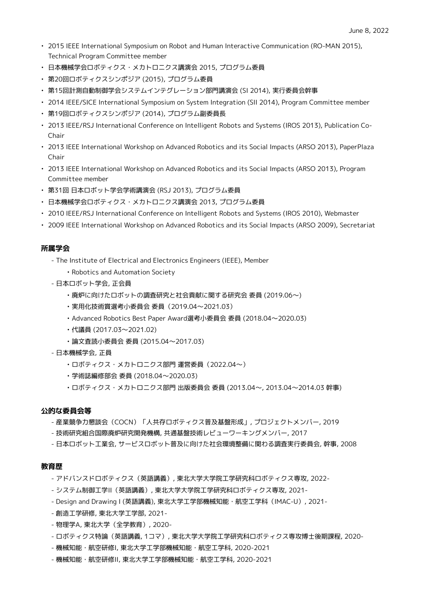- 2015 IEEE International Symposium on Robot and Human Interactive Communication (RO-MAN 2015), Technical Program Committee member
- 日本機械学会ロボティクス・メカトロニクス講演会 2015, プログラム委員
- 第20回ロボティクスシンポジア (2015), プログラム委員
- 第15回計測自動制御学会システムインテグレーション部門講演会 (SI 2014), 実行委員会幹事
- 2014 IEEE/SICE International Symposium on System Integration (SII 2014), Program Committee member
- 第19回ロボティクスシンポジア (2014), プログラム副委員長
- 2013 IEEE/RSJ International Conference on Intelligent Robots and Systems (IROS 2013), Publication Co-Chair
- 2013 IEEE International Workshop on Advanced Robotics and its Social Impacts (ARSO 2013), PaperPlaza Chair
- 2013 IEEE International Workshop on Advanced Robotics and its Social Impacts (ARSO 2013), Program Committee member
- 第31回 日本ロボット学会学術講演会 (RSJ 2013), プログラム委員
- 日本機械学会ロボティクス・メカトロニクス講演会 2013, プログラム委員
- 2010 IEEE/RSJ International Conference on Intelligent Robots and Systems (IROS 2010), Webmaster
- 2009 IEEE International Workshop on Advanced Robotics and its Social Impacts (ARSO 2009), Secretariat

## **所属学会**

- The Institute of Electrical and Electronics Engineers (IEEE), Member
	- Robotics and Automation Society
- 日本ロボット学会, 正会員
	- 廃炉に向けたロボットの調査研究と社会貢献に関する研究会 委員 (2019.06〜)
	- 実用化技術賞選考小委員会 委員(2019.04〜2021.03)
	- Advanced Robotics Best Paper Award選考小委員会 委員 (2018.04〜2020.03)
	- 代議員 (2017.03〜2021.02)
	- 論文査読小委員会 委員 (2015.04〜2017.03)
- 日本機械学会, 正員
	- ロボティクス・メカトロニクス部門 運営委員(2022.04〜)
	- 学術誌編修部会 委員 (2018.04〜2020.03)
	- ロボティクス・メカトロニクス部門 出版委員会 委員 (2013.04〜, 2013.04〜2014.03 幹事)

## **公的な委員会等**

- 産業競争力懇談会(COCN)「人共存ロボティクス普及基盤形成」, プロジェクトメンバー, 2019
- 技術研究組合国際廃炉研究開発機構, 共通基盤技術レビューワーキングメンバー, 2017
- 日本ロボット工業会, サービスロボット普及に向けた社会環境整備に関わる調査実行委員会, 幹事, 2008

## **教育歴**

- アドバンスドロボティクス(英語講義), 東北大学大学院工学研究科ロボティクス専攻, 2022-
- システム制御工学II(英語講義), 東北大学大学院工学研究科ロボティクス専攻, 2021-
- Design and Drawing I (英語講義), 東北大学工学部機械知能・航空工学科(IMAC-U), 2021-
- 創造工学研修, 東北大学工学部, 2021-
- 物理学A, 東北大学(全学教育), 2020-
- ロボティクス特論(英語講義, 1コマ), 東北大学大学院工学研究科ロボティクス専攻博士後期課程, 2020-
- 機械知能・航空研修I, 東北大学工学部機械知能・航空工学科, 2020-2021
- 機械知能・航空研修II, 東北大学工学部機械知能・航空工学科, 2020-2021